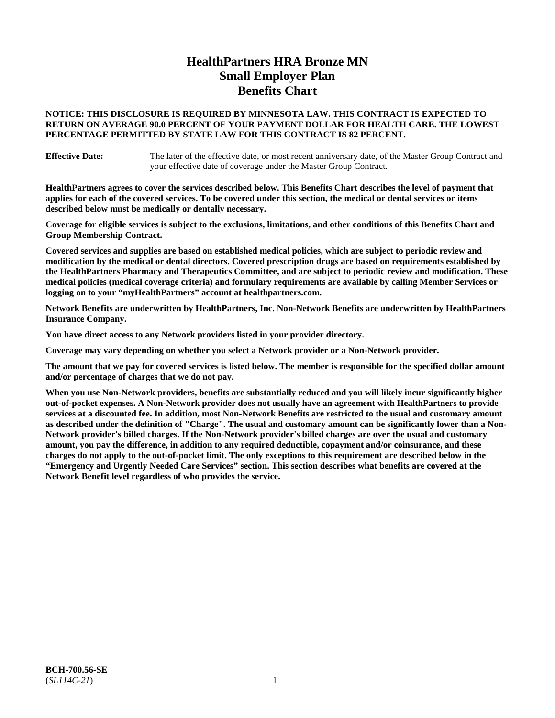# **HealthPartners HRA Bronze MN Small Employer Plan Benefits Chart**

## **NOTICE: THIS DISCLOSURE IS REQUIRED BY MINNESOTA LAW. THIS CONTRACT IS EXPECTED TO RETURN ON AVERAGE 90.0 PERCENT OF YOUR PAYMENT DOLLAR FOR HEALTH CARE. THE LOWEST PERCENTAGE PERMITTED BY STATE LAW FOR THIS CONTRACT IS 82 PERCENT.**

**Effective Date:** The later of the effective date, or most recent anniversary date, of the Master Group Contract and your effective date of coverage under the Master Group Contract.

**HealthPartners agrees to cover the services described below. This Benefits Chart describes the level of payment that applies for each of the covered services. To be covered under this section, the medical or dental services or items described below must be medically or dentally necessary.**

**Coverage for eligible services is subject to the exclusions, limitations, and other conditions of this Benefits Chart and Group Membership Contract.**

**Covered services and supplies are based on established medical policies, which are subject to periodic review and modification by the medical or dental directors. Covered prescription drugs are based on requirements established by the HealthPartners Pharmacy and Therapeutics Committee, and are subject to periodic review and modification. These medical policies (medical coverage criteria) and formulary requirements are available by calling Member Services or logging on to your "myHealthPartners" account at [healthpartners.com.](https://www.healthpartners.com/hp/index.html)**

**Network Benefits are underwritten by HealthPartners, Inc. Non-Network Benefits are underwritten by HealthPartners Insurance Company.** 

**You have direct access to any Network providers listed in your provider directory.**

**Coverage may vary depending on whether you select a Network provider or a Non-Network provider.**

**The amount that we pay for covered services is listed below. The member is responsible for the specified dollar amount and/or percentage of charges that we do not pay.**

**When you use Non-Network providers, benefits are substantially reduced and you will likely incur significantly higher out-of-pocket expenses. A Non-Network provider does not usually have an agreement with HealthPartners to provide services at a discounted fee. In addition, most Non-Network Benefits are restricted to the usual and customary amount as described under the definition of "Charge". The usual and customary amount can be significantly lower than a Non-Network provider's billed charges. If the Non-Network provider's billed charges are over the usual and customary amount, you pay the difference, in addition to any required deductible, copayment and/or coinsurance, and these charges do not apply to the out-of-pocket limit. The only exceptions to this requirement are described below in the "Emergency and Urgently Needed Care Services" section. This section describes what benefits are covered at the Network Benefit level regardless of who provides the service.**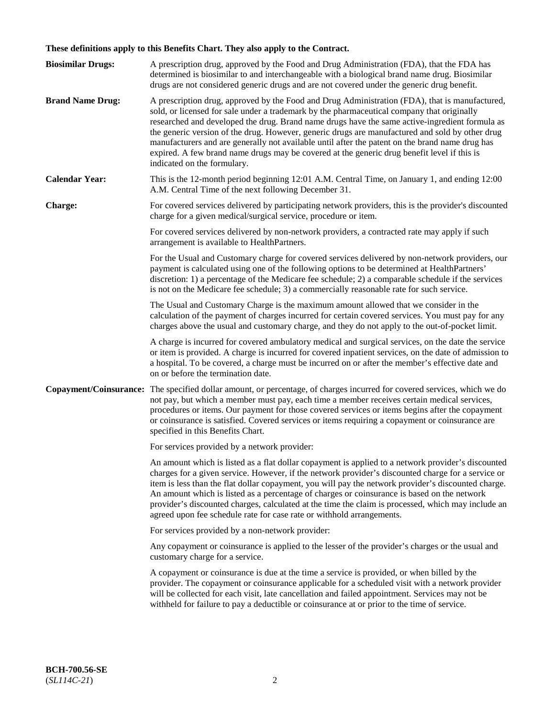# **These definitions apply to this Benefits Chart. They also apply to the Contract.**

| <b>Biosimilar Drugs:</b> | A prescription drug, approved by the Food and Drug Administration (FDA), that the FDA has<br>determined is biosimilar to and interchangeable with a biological brand name drug. Biosimilar<br>drugs are not considered generic drugs and are not covered under the generic drug benefit.                                                                                                                                                                                                                                                                                                                                           |
|--------------------------|------------------------------------------------------------------------------------------------------------------------------------------------------------------------------------------------------------------------------------------------------------------------------------------------------------------------------------------------------------------------------------------------------------------------------------------------------------------------------------------------------------------------------------------------------------------------------------------------------------------------------------|
| <b>Brand Name Drug:</b>  | A prescription drug, approved by the Food and Drug Administration (FDA), that is manufactured,<br>sold, or licensed for sale under a trademark by the pharmaceutical company that originally<br>researched and developed the drug. Brand name drugs have the same active-ingredient formula as<br>the generic version of the drug. However, generic drugs are manufactured and sold by other drug<br>manufacturers and are generally not available until after the patent on the brand name drug has<br>expired. A few brand name drugs may be covered at the generic drug benefit level if this is<br>indicated on the formulary. |
| <b>Calendar Year:</b>    | This is the 12-month period beginning 12:01 A.M. Central Time, on January 1, and ending 12:00<br>A.M. Central Time of the next following December 31.                                                                                                                                                                                                                                                                                                                                                                                                                                                                              |
| <b>Charge:</b>           | For covered services delivered by participating network providers, this is the provider's discounted<br>charge for a given medical/surgical service, procedure or item.                                                                                                                                                                                                                                                                                                                                                                                                                                                            |
|                          | For covered services delivered by non-network providers, a contracted rate may apply if such<br>arrangement is available to HealthPartners.                                                                                                                                                                                                                                                                                                                                                                                                                                                                                        |
|                          | For the Usual and Customary charge for covered services delivered by non-network providers, our<br>payment is calculated using one of the following options to be determined at HealthPartners'<br>discretion: 1) a percentage of the Medicare fee schedule; 2) a comparable schedule if the services<br>is not on the Medicare fee schedule; 3) a commercially reasonable rate for such service.                                                                                                                                                                                                                                  |
|                          | The Usual and Customary Charge is the maximum amount allowed that we consider in the<br>calculation of the payment of charges incurred for certain covered services. You must pay for any<br>charges above the usual and customary charge, and they do not apply to the out-of-pocket limit.                                                                                                                                                                                                                                                                                                                                       |
|                          | A charge is incurred for covered ambulatory medical and surgical services, on the date the service<br>or item is provided. A charge is incurred for covered inpatient services, on the date of admission to<br>a hospital. To be covered, a charge must be incurred on or after the member's effective date and<br>on or before the termination date.                                                                                                                                                                                                                                                                              |
| Copayment/Coinsurance:   | The specified dollar amount, or percentage, of charges incurred for covered services, which we do<br>not pay, but which a member must pay, each time a member receives certain medical services,<br>procedures or items. Our payment for those covered services or items begins after the copayment<br>or coinsurance is satisfied. Covered services or items requiring a copayment or coinsurance are<br>specified in this Benefits Chart.                                                                                                                                                                                        |
|                          | For services provided by a network provider:                                                                                                                                                                                                                                                                                                                                                                                                                                                                                                                                                                                       |
|                          | An amount which is listed as a flat dollar copayment is applied to a network provider's discounted<br>charges for a given service. However, if the network provider's discounted charge for a service or<br>item is less than the flat dollar copayment, you will pay the network provider's discounted charge.<br>An amount which is listed as a percentage of charges or coinsurance is based on the network<br>provider's discounted charges, calculated at the time the claim is processed, which may include an<br>agreed upon fee schedule rate for case rate or withhold arrangements.                                      |
|                          | For services provided by a non-network provider:                                                                                                                                                                                                                                                                                                                                                                                                                                                                                                                                                                                   |
|                          | Any copayment or coinsurance is applied to the lesser of the provider's charges or the usual and<br>customary charge for a service.                                                                                                                                                                                                                                                                                                                                                                                                                                                                                                |
|                          | A copayment or coinsurance is due at the time a service is provided, or when billed by the<br>provider. The copayment or coinsurance applicable for a scheduled visit with a network provider<br>will be collected for each visit, late cancellation and failed appointment. Services may not be<br>withheld for failure to pay a deductible or coinsurance at or prior to the time of service.                                                                                                                                                                                                                                    |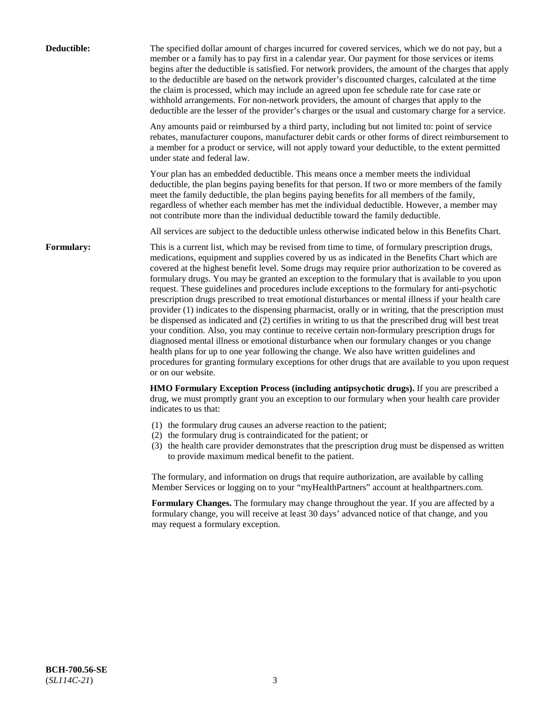| Deductible:       | The specified dollar amount of charges incurred for covered services, which we do not pay, but a<br>member or a family has to pay first in a calendar year. Our payment for those services or items<br>begins after the deductible is satisfied. For network providers, the amount of the charges that apply<br>to the deductible are based on the network provider's discounted charges, calculated at the time<br>the claim is processed, which may include an agreed upon fee schedule rate for case rate or<br>withhold arrangements. For non-network providers, the amount of charges that apply to the<br>deductible are the lesser of the provider's charges or the usual and customary charge for a service.                                                                                                                                                                                                                                                                                                                                                                                                                                                                                                                                             |
|-------------------|------------------------------------------------------------------------------------------------------------------------------------------------------------------------------------------------------------------------------------------------------------------------------------------------------------------------------------------------------------------------------------------------------------------------------------------------------------------------------------------------------------------------------------------------------------------------------------------------------------------------------------------------------------------------------------------------------------------------------------------------------------------------------------------------------------------------------------------------------------------------------------------------------------------------------------------------------------------------------------------------------------------------------------------------------------------------------------------------------------------------------------------------------------------------------------------------------------------------------------------------------------------|
|                   | Any amounts paid or reimbursed by a third party, including but not limited to: point of service<br>rebates, manufacturer coupons, manufacturer debit cards or other forms of direct reimbursement to<br>a member for a product or service, will not apply toward your deductible, to the extent permitted<br>under state and federal law.                                                                                                                                                                                                                                                                                                                                                                                                                                                                                                                                                                                                                                                                                                                                                                                                                                                                                                                        |
|                   | Your plan has an embedded deductible. This means once a member meets the individual<br>deductible, the plan begins paying benefits for that person. If two or more members of the family<br>meet the family deductible, the plan begins paying benefits for all members of the family,<br>regardless of whether each member has met the individual deductible. However, a member may<br>not contribute more than the individual deductible toward the family deductible.                                                                                                                                                                                                                                                                                                                                                                                                                                                                                                                                                                                                                                                                                                                                                                                         |
|                   | All services are subject to the deductible unless otherwise indicated below in this Benefits Chart.                                                                                                                                                                                                                                                                                                                                                                                                                                                                                                                                                                                                                                                                                                                                                                                                                                                                                                                                                                                                                                                                                                                                                              |
| <b>Formulary:</b> | This is a current list, which may be revised from time to time, of formulary prescription drugs,<br>medications, equipment and supplies covered by us as indicated in the Benefits Chart which are<br>covered at the highest benefit level. Some drugs may require prior authorization to be covered as<br>formulary drugs. You may be granted an exception to the formulary that is available to you upon<br>request. These guidelines and procedures include exceptions to the formulary for anti-psychotic<br>prescription drugs prescribed to treat emotional disturbances or mental illness if your health care<br>provider (1) indicates to the dispensing pharmacist, orally or in writing, that the prescription must<br>be dispensed as indicated and (2) certifies in writing to us that the prescribed drug will best treat<br>your condition. Also, you may continue to receive certain non-formulary prescription drugs for<br>diagnosed mental illness or emotional disturbance when our formulary changes or you change<br>health plans for up to one year following the change. We also have written guidelines and<br>procedures for granting formulary exceptions for other drugs that are available to you upon request<br>or on our website. |
|                   | HMO Formulary Exception Process (including antipsychotic drugs). If you are prescribed a<br>drug, we must promptly grant you an exception to our formulary when your health care provider<br>indicates to us that:                                                                                                                                                                                                                                                                                                                                                                                                                                                                                                                                                                                                                                                                                                                                                                                                                                                                                                                                                                                                                                               |
|                   | (1) the formulary drug causes an adverse reaction to the patient;<br>(2) the formulary drug is contraindicated for the patient; or<br>(3) the health care provider demonstrates that the prescription drug must be dispensed as written<br>to provide maximum medical benefit to the patient.                                                                                                                                                                                                                                                                                                                                                                                                                                                                                                                                                                                                                                                                                                                                                                                                                                                                                                                                                                    |
|                   | The formulary, and information on drugs that require authorization, are available by calling<br>Member Services or logging on to your "myHealthPartners" account at healthpartners.com.                                                                                                                                                                                                                                                                                                                                                                                                                                                                                                                                                                                                                                                                                                                                                                                                                                                                                                                                                                                                                                                                          |
|                   | Formulary Changes. The formulary may change throughout the year. If you are affected by a<br>formulary change, you will receive at least 30 days' advanced notice of that change, and you<br>may request a formulary exception.                                                                                                                                                                                                                                                                                                                                                                                                                                                                                                                                                                                                                                                                                                                                                                                                                                                                                                                                                                                                                                  |
|                   |                                                                                                                                                                                                                                                                                                                                                                                                                                                                                                                                                                                                                                                                                                                                                                                                                                                                                                                                                                                                                                                                                                                                                                                                                                                                  |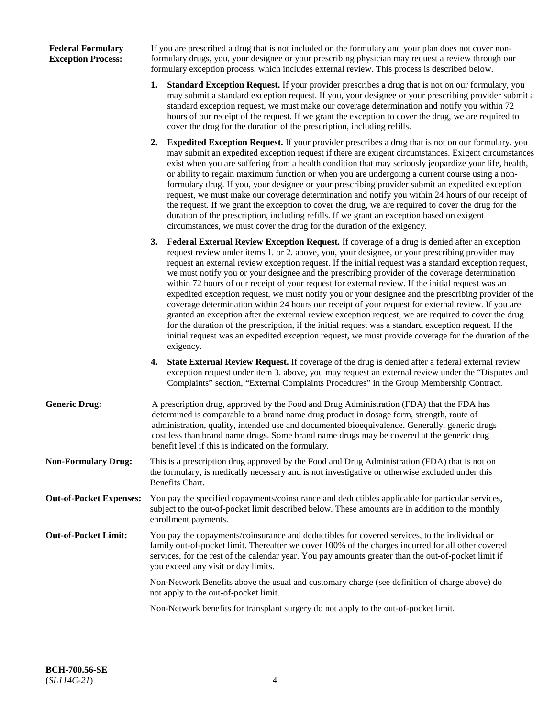## **Federal Formulary Exception Process:**

If you are prescribed a drug that is not included on the formulary and your plan does not cover nonformulary drugs, you, your designee or your prescribing physician may request a review through our formulary exception process, which includes external review. This process is described below.

- **1. Standard Exception Request.** If your provider prescribes a drug that is not on our formulary, you may submit a standard exception request. If you, your designee or your prescribing provider submit a standard exception request, we must make our coverage determination and notify you within 72 hours of our receipt of the request. If we grant the exception to cover the drug, we are required to cover the drug for the duration of the prescription, including refills.
- **2. Expedited Exception Request.** If your provider prescribes a drug that is not on our formulary, you may submit an expedited exception request if there are exigent circumstances. Exigent circumstances exist when you are suffering from a health condition that may seriously jeopardize your life, health, or ability to regain maximum function or when you are undergoing a current course using a nonformulary drug. If you, your designee or your prescribing provider submit an expedited exception request, we must make our coverage determination and notify you within 24 hours of our receipt of the request. If we grant the exception to cover the drug, we are required to cover the drug for the duration of the prescription, including refills. If we grant an exception based on exigent circumstances, we must cover the drug for the duration of the exigency.
- **3. Federal External Review Exception Request.** If coverage of a drug is denied after an exception request review under items 1. or 2. above, you, your designee, or your prescribing provider may request an external review exception request. If the initial request was a standard exception request, we must notify you or your designee and the prescribing provider of the coverage determination within 72 hours of our receipt of your request for external review. If the initial request was an expedited exception request, we must notify you or your designee and the prescribing provider of the coverage determination within 24 hours our receipt of your request for external review. If you are granted an exception after the external review exception request, we are required to cover the drug for the duration of the prescription, if the initial request was a standard exception request. If the initial request was an expedited exception request, we must provide coverage for the duration of the exigency.
- **4. State External Review Request.** If coverage of the drug is denied after a federal external review exception request under item 3. above, you may request an external review under the "Disputes and Complaints" section, "External Complaints Procedures" in the Group Membership Contract.
- **Generic Drug:** A prescription drug, approved by the Food and Drug Administration (FDA) that the FDA has determined is comparable to a brand name drug product in dosage form, strength, route of administration, quality, intended use and documented bioequivalence. Generally, generic drugs cost less than brand name drugs. Some brand name drugs may be covered at the generic drug benefit level if this is indicated on the formulary.
- **Non-Formulary Drug:** This is a prescription drug approved by the Food and Drug Administration (FDA) that is not on the formulary, is medically necessary and is not investigative or otherwise excluded under this Benefits Chart.
- **Out-of-Pocket Expenses:** You pay the specified copayments/coinsurance and deductibles applicable for particular services, subject to the out-of-pocket limit described below. These amounts are in addition to the monthly enrollment payments.
- **Out-of-Pocket Limit:** You pay the copayments/coinsurance and deductibles for covered services, to the individual or family out-of-pocket limit. Thereafter we cover 100% of the charges incurred for all other covered services, for the rest of the calendar year. You pay amounts greater than the out-of-pocket limit if you exceed any visit or day limits.

Non-Network Benefits above the usual and customary charge (see definition of charge above) do not apply to the out-of-pocket limit.

Non-Network benefits for transplant surgery do not apply to the out-of-pocket limit.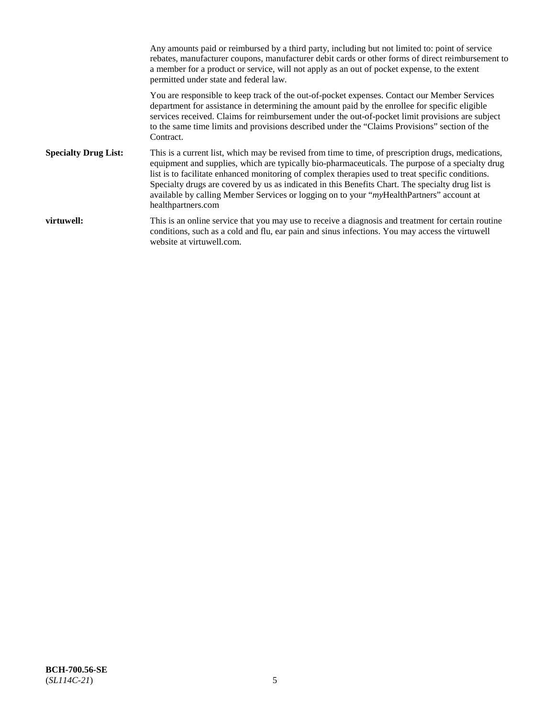Any amounts paid or reimbursed by a third party, including but not limited to: point of service rebates, manufacturer coupons, manufacturer debit cards or other forms of direct reimbursement to a member for a product or service, will not apply as an out of pocket expense, to the extent permitted under state and federal law. You are responsible to keep track of the out-of-pocket expenses. Contact our Member Services department for assistance in determining the amount paid by the enrollee for specific eligible services received. Claims for reimbursement under the out-of-pocket limit provisions are subject to the same time limits and provisions described under the "Claims Provisions" section of the Contract. **Specialty Drug List:** This is a current list, which may be revised from time to time, of prescription drugs, medications, equipment and supplies, which are typically bio-pharmaceuticals. The purpose of a specialty drug list is to facilitate enhanced monitoring of complex therapies used to treat specific conditions. Specialty drugs are covered by us as indicated in this Benefits Chart. The specialty drug list is available by calling Member Services or logging on to your "*my*HealthPartners" account at [healthpartners.com](https://www.healthpartners.com/hp/index.html) **virtuwell:** This is an online service that you may use to receive a diagnosis and treatment for certain routine conditions, such as a cold and flu, ear pain and sinus infections. You may access the virtuwell website at [virtuwell.com.](https://www.virtuwell.com/)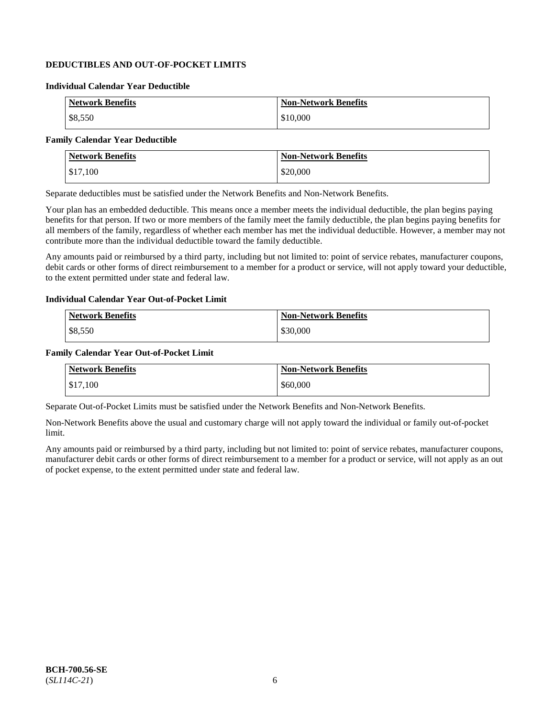## **DEDUCTIBLES AND OUT-OF-POCKET LIMITS**

### **Individual Calendar Year Deductible**

| <b>Network Benefits</b> | <b>Non-Network Benefits</b> |
|-------------------------|-----------------------------|
| \$8,550                 | \$10,000                    |

## **Family Calendar Year Deductible**

| <b>Network Benefits</b> | <b>Non-Network Benefits</b> |
|-------------------------|-----------------------------|
| \$17,100                | \$20,000                    |

Separate deductibles must be satisfied under the Network Benefits and Non-Network Benefits.

Your plan has an embedded deductible. This means once a member meets the individual deductible, the plan begins paying benefits for that person. If two or more members of the family meet the family deductible, the plan begins paying benefits for all members of the family, regardless of whether each member has met the individual deductible. However, a member may not contribute more than the individual deductible toward the family deductible.

Any amounts paid or reimbursed by a third party, including but not limited to: point of service rebates, manufacturer coupons, debit cards or other forms of direct reimbursement to a member for a product or service, will not apply toward your deductible, to the extent permitted under state and federal law.

#### **Individual Calendar Year Out-of-Pocket Limit**

| <b>Network Benefits</b> | <b>Non-Network Benefits</b> |
|-------------------------|-----------------------------|
| \$8,550                 | \$30,000                    |

#### **Family Calendar Year Out-of-Pocket Limit**

| <b>Network Benefits</b> | <b>Non-Network Benefits</b> |
|-------------------------|-----------------------------|
| \$17,100                | \$60,000                    |

Separate Out-of-Pocket Limits must be satisfied under the Network Benefits and Non-Network Benefits.

Non-Network Benefits above the usual and customary charge will not apply toward the individual or family out-of-pocket limit.

Any amounts paid or reimbursed by a third party, including but not limited to: point of service rebates, manufacturer coupons, manufacturer debit cards or other forms of direct reimbursement to a member for a product or service, will not apply as an out of pocket expense, to the extent permitted under state and federal law.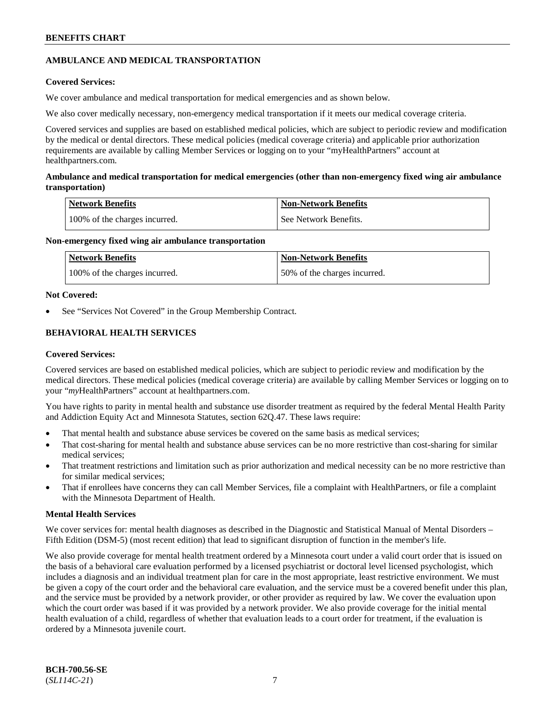## **AMBULANCE AND MEDICAL TRANSPORTATION**

## **Covered Services:**

We cover ambulance and medical transportation for medical emergencies and as shown below.

We also cover medically necessary, non-emergency medical transportation if it meets our medical coverage criteria.

Covered services and supplies are based on established medical policies, which are subject to periodic review and modification by the medical or dental directors. These medical policies (medical coverage criteria) and applicable prior authorization requirements are available by calling Member Services or logging on to your "myHealthPartners" account at [healthpartners.com.](https://www.healthpartners.com/hp/index.html)

## **Ambulance and medical transportation for medical emergencies (other than non-emergency fixed wing air ambulance transportation)**

| Network Benefits              | <b>Non-Network Benefits</b> |
|-------------------------------|-----------------------------|
| 100% of the charges incurred. | See Network Benefits.       |

## **Non-emergency fixed wing air ambulance transportation**

| <b>Network Benefits</b>       | <b>Non-Network Benefits</b>  |
|-------------------------------|------------------------------|
| 100% of the charges incurred. | 50% of the charges incurred. |

## **Not Covered:**

See "Services Not Covered" in the Group Membership Contract.

## **BEHAVIORAL HEALTH SERVICES**

## **Covered Services:**

Covered services are based on established medical policies, which are subject to periodic review and modification by the medical directors. These medical policies (medical coverage criteria) are available by calling Member Services or logging on to your "*my*HealthPartners" account at [healthpartners.com.](http://www.healthpartners.com/)

You have rights to parity in mental health and substance use disorder treatment as required by the federal Mental Health Parity and Addiction Equity Act and Minnesota Statutes, section 62Q.47. These laws require:

- That mental health and substance abuse services be covered on the same basis as medical services;
- That cost-sharing for mental health and substance abuse services can be no more restrictive than cost-sharing for similar medical services;
- That treatment restrictions and limitation such as prior authorization and medical necessity can be no more restrictive than for similar medical services;
- That if enrollees have concerns they can call Member Services, file a complaint with HealthPartners, or file a complaint with the Minnesota Department of Health.

## **Mental Health Services**

We cover services for: mental health diagnoses as described in the Diagnostic and Statistical Manual of Mental Disorders – Fifth Edition (DSM-5) (most recent edition) that lead to significant disruption of function in the member's life.

We also provide coverage for mental health treatment ordered by a Minnesota court under a valid court order that is issued on the basis of a behavioral care evaluation performed by a licensed psychiatrist or doctoral level licensed psychologist, which includes a diagnosis and an individual treatment plan for care in the most appropriate, least restrictive environment. We must be given a copy of the court order and the behavioral care evaluation, and the service must be a covered benefit under this plan, and the service must be provided by a network provider, or other provider as required by law. We cover the evaluation upon which the court order was based if it was provided by a network provider. We also provide coverage for the initial mental health evaluation of a child, regardless of whether that evaluation leads to a court order for treatment, if the evaluation is ordered by a Minnesota juvenile court.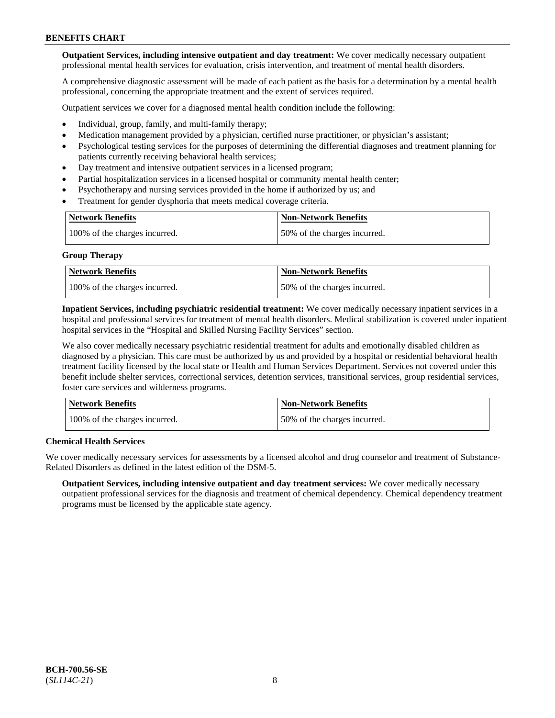**Outpatient Services, including intensive outpatient and day treatment:** We cover medically necessary outpatient professional mental health services for evaluation, crisis intervention, and treatment of mental health disorders.

A comprehensive diagnostic assessment will be made of each patient as the basis for a determination by a mental health professional, concerning the appropriate treatment and the extent of services required.

Outpatient services we cover for a diagnosed mental health condition include the following:

- Individual, group, family, and multi-family therapy;
- Medication management provided by a physician, certified nurse practitioner, or physician's assistant;
- Psychological testing services for the purposes of determining the differential diagnoses and treatment planning for patients currently receiving behavioral health services;
- Day treatment and intensive outpatient services in a licensed program;
- Partial hospitalization services in a licensed hospital or community mental health center;
- Psychotherapy and nursing services provided in the home if authorized by us; and
- Treatment for gender dysphoria that meets medical coverage criteria.

| <b>Network Benefits</b>       | <b>Non-Network Benefits</b>  |
|-------------------------------|------------------------------|
| 100% of the charges incurred. | 50% of the charges incurred. |

#### **Group Therapy**

| Network Benefits              | <b>Non-Network Benefits</b>  |
|-------------------------------|------------------------------|
| 100% of the charges incurred. | 50% of the charges incurred. |

**Inpatient Services, including psychiatric residential treatment:** We cover medically necessary inpatient services in a hospital and professional services for treatment of mental health disorders. Medical stabilization is covered under inpatient hospital services in the "Hospital and Skilled Nursing Facility Services" section.

We also cover medically necessary psychiatric residential treatment for adults and emotionally disabled children as diagnosed by a physician. This care must be authorized by us and provided by a hospital or residential behavioral health treatment facility licensed by the local state or Health and Human Services Department. Services not covered under this benefit include shelter services, correctional services, detention services, transitional services, group residential services, foster care services and wilderness programs.

| Network Benefits              | <b>Non-Network Benefits</b>  |
|-------------------------------|------------------------------|
| 100% of the charges incurred. | 50% of the charges incurred. |

## **Chemical Health Services**

We cover medically necessary services for assessments by a licensed alcohol and drug counselor and treatment of Substance-Related Disorders as defined in the latest edition of the DSM-5.

**Outpatient Services, including intensive outpatient and day treatment services:** We cover medically necessary outpatient professional services for the diagnosis and treatment of chemical dependency. Chemical dependency treatment programs must be licensed by the applicable state agency.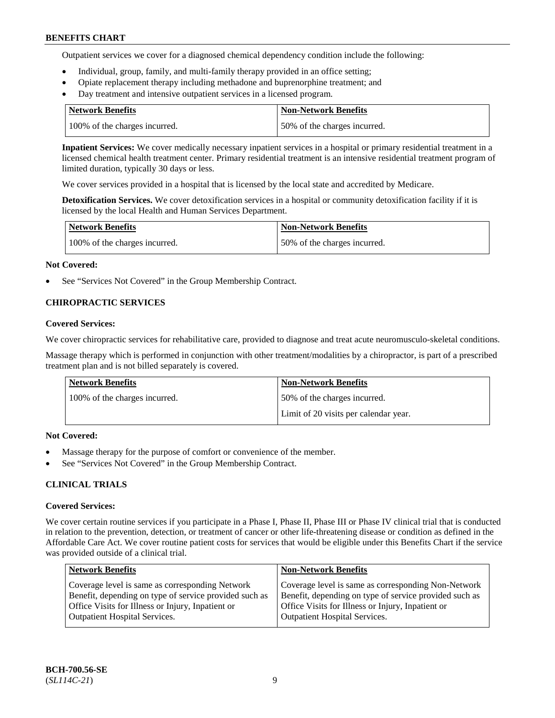Outpatient services we cover for a diagnosed chemical dependency condition include the following:

- Individual, group, family, and multi-family therapy provided in an office setting;
- Opiate replacement therapy including methadone and buprenorphine treatment; and
- Day treatment and intensive outpatient services in a licensed program.

| Network Benefits              | <b>Non-Network Benefits</b>  |
|-------------------------------|------------------------------|
| 100% of the charges incurred. | 50% of the charges incurred. |

**Inpatient Services:** We cover medically necessary inpatient services in a hospital or primary residential treatment in a licensed chemical health treatment center. Primary residential treatment is an intensive residential treatment program of limited duration, typically 30 days or less.

We cover services provided in a hospital that is licensed by the local state and accredited by Medicare.

**Detoxification Services.** We cover detoxification services in a hospital or community detoxification facility if it is licensed by the local Health and Human Services Department.

| <b>Network Benefits</b>       | <b>Non-Network Benefits</b>  |
|-------------------------------|------------------------------|
| 100% of the charges incurred. | 50% of the charges incurred. |

## **Not Covered:**

See "Services Not Covered" in the Group Membership Contract.

## **CHIROPRACTIC SERVICES**

## **Covered Services:**

We cover chiropractic services for rehabilitative care, provided to diagnose and treat acute neuromusculo-skeletal conditions.

Massage therapy which is performed in conjunction with other treatment/modalities by a chiropractor, is part of a prescribed treatment plan and is not billed separately is covered.

| Network Benefits              | <b>Non-Network Benefits</b>           |
|-------------------------------|---------------------------------------|
| 100% of the charges incurred. | 50% of the charges incurred.          |
|                               | Limit of 20 visits per calendar year. |

## **Not Covered:**

- Massage therapy for the purpose of comfort or convenience of the member.
- See "Services Not Covered" in the Group Membership Contract.

## **CLINICAL TRIALS**

## **Covered Services:**

We cover certain routine services if you participate in a Phase I, Phase II, Phase III or Phase IV clinical trial that is conducted in relation to the prevention, detection, or treatment of cancer or other life-threatening disease or condition as defined in the Affordable Care Act. We cover routine patient costs for services that would be eligible under this Benefits Chart if the service was provided outside of a clinical trial.

| <b>Network Benefits</b>                                                                                                                                                                                | <b>Non-Network Benefits</b>                                                                                                                                                                                |
|--------------------------------------------------------------------------------------------------------------------------------------------------------------------------------------------------------|------------------------------------------------------------------------------------------------------------------------------------------------------------------------------------------------------------|
| Coverage level is same as corresponding Network<br>Benefit, depending on type of service provided such as<br>Office Visits for Illness or Injury, Inpatient or<br><b>Outpatient Hospital Services.</b> | Coverage level is same as corresponding Non-Network<br>Benefit, depending on type of service provided such as<br>Office Visits for Illness or Injury, Inpatient or<br><b>Outpatient Hospital Services.</b> |
|                                                                                                                                                                                                        |                                                                                                                                                                                                            |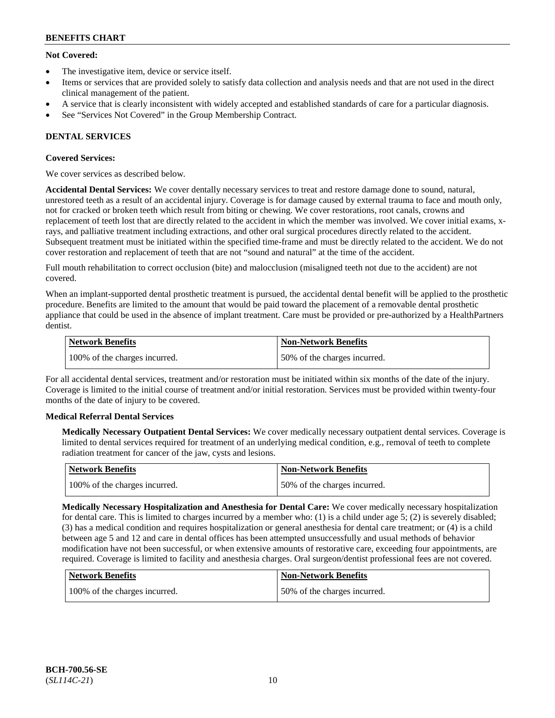## **Not Covered:**

- The investigative item, device or service itself.
- Items or services that are provided solely to satisfy data collection and analysis needs and that are not used in the direct clinical management of the patient.
- A service that is clearly inconsistent with widely accepted and established standards of care for a particular diagnosis.
- See "Services Not Covered" in the Group Membership Contract.

## **DENTAL SERVICES**

## **Covered Services:**

We cover services as described below.

**Accidental Dental Services:** We cover dentally necessary services to treat and restore damage done to sound, natural, unrestored teeth as a result of an accidental injury. Coverage is for damage caused by external trauma to face and mouth only, not for cracked or broken teeth which result from biting or chewing. We cover restorations, root canals, crowns and replacement of teeth lost that are directly related to the accident in which the member was involved. We cover initial exams, xrays, and palliative treatment including extractions, and other oral surgical procedures directly related to the accident. Subsequent treatment must be initiated within the specified time-frame and must be directly related to the accident. We do not cover restoration and replacement of teeth that are not "sound and natural" at the time of the accident.

Full mouth rehabilitation to correct occlusion (bite) and malocclusion (misaligned teeth not due to the accident) are not covered.

When an implant-supported dental prosthetic treatment is pursued, the accidental dental benefit will be applied to the prosthetic procedure. Benefits are limited to the amount that would be paid toward the placement of a removable dental prosthetic appliance that could be used in the absence of implant treatment. Care must be provided or pre-authorized by a HealthPartners dentist.

| Network Benefits              | <b>Non-Network Benefits</b>  |
|-------------------------------|------------------------------|
| 100% of the charges incurred. | 50% of the charges incurred. |

For all accidental dental services, treatment and/or restoration must be initiated within six months of the date of the injury. Coverage is limited to the initial course of treatment and/or initial restoration. Services must be provided within twenty-four months of the date of injury to be covered.

## **Medical Referral Dental Services**

**Medically Necessary Outpatient Dental Services:** We cover medically necessary outpatient dental services. Coverage is limited to dental services required for treatment of an underlying medical condition, e.g., removal of teeth to complete radiation treatment for cancer of the jaw, cysts and lesions.

| Network Benefits              | Non-Network Benefits         |
|-------------------------------|------------------------------|
| 100% of the charges incurred. | 50% of the charges incurred. |

**Medically Necessary Hospitalization and Anesthesia for Dental Care:** We cover medically necessary hospitalization for dental care. This is limited to charges incurred by a member who: (1) is a child under age  $5$ ; (2) is severely disabled; (3) has a medical condition and requires hospitalization or general anesthesia for dental care treatment; or (4) is a child between age 5 and 12 and care in dental offices has been attempted unsuccessfully and usual methods of behavior modification have not been successful, or when extensive amounts of restorative care, exceeding four appointments, are required. Coverage is limited to facility and anesthesia charges. Oral surgeon/dentist professional fees are not covered.

| <b>Network Benefits</b>       | <b>Non-Network Benefits</b>  |
|-------------------------------|------------------------------|
| 100% of the charges incurred. | 50% of the charges incurred. |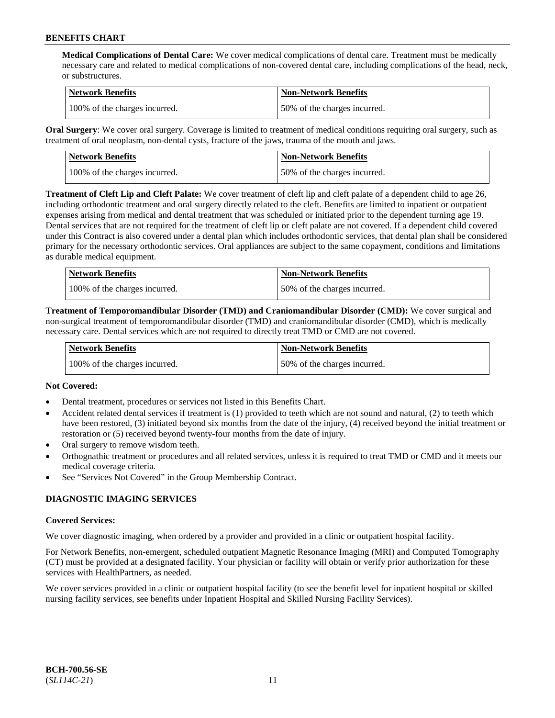**Medical Complications of Dental Care:** We cover medical complications of dental care. Treatment must be medically necessary care and related to medical complications of non-covered dental care, including complications of the head, neck, or substructures.

| Network Benefits              | <b>Non-Network Benefits</b>  |
|-------------------------------|------------------------------|
| 100% of the charges incurred. | 50% of the charges incurred. |

**Oral Surgery**: We cover oral surgery. Coverage is limited to treatment of medical conditions requiring oral surgery, such as treatment of oral neoplasm, non-dental cysts, fracture of the jaws, trauma of the mouth and jaws.

| Network Benefits              | <b>Non-Network Benefits</b>  |
|-------------------------------|------------------------------|
| 100% of the charges incurred. | 50% of the charges incurred. |

**Treatment of Cleft Lip and Cleft Palate:** We cover treatment of cleft lip and cleft palate of a dependent child to age 26, including orthodontic treatment and oral surgery directly related to the cleft. Benefits are limited to inpatient or outpatient expenses arising from medical and dental treatment that was scheduled or initiated prior to the dependent turning age 19. Dental services that are not required for the treatment of cleft lip or cleft palate are not covered. If a dependent child covered under this Contract is also covered under a dental plan which includes orthodontic services, that dental plan shall be considered primary for the necessary orthodontic services. Oral appliances are subject to the same copayment, conditions and limitations as durable medical equipment.

| <b>Network Benefits</b>       | <b>Non-Network Benefits</b>  |
|-------------------------------|------------------------------|
| 100% of the charges incurred. | 50% of the charges incurred. |

**Treatment of Temporomandibular Disorder (TMD) and Craniomandibular Disorder (CMD):** We cover surgical and non-surgical treatment of temporomandibular disorder (TMD) and craniomandibular disorder (CMD), which is medically necessary care. Dental services which are not required to directly treat TMD or CMD are not covered.

| <b>Network Benefits</b>       | <b>Non-Network Benefits</b>  |
|-------------------------------|------------------------------|
| 100% of the charges incurred. | 50% of the charges incurred. |

## **Not Covered:**

- Dental treatment, procedures or services not listed in this Benefits Chart.
- Accident related dental services if treatment is (1) provided to teeth which are not sound and natural, (2) to teeth which have been restored, (3) initiated beyond six months from the date of the injury, (4) received beyond the initial treatment or restoration or (5) received beyond twenty-four months from the date of injury.
- Oral surgery to remove wisdom teeth.
- Orthognathic treatment or procedures and all related services, unless it is required to treat TMD or CMD and it meets our medical coverage criteria.
- See "Services Not Covered" in the Group Membership Contract.

## **DIAGNOSTIC IMAGING SERVICES**

#### **Covered Services:**

We cover diagnostic imaging, when ordered by a provider and provided in a clinic or outpatient hospital facility.

For Network Benefits, non-emergent, scheduled outpatient Magnetic Resonance Imaging (MRI) and Computed Tomography (CT) must be provided at a designated facility. Your physician or facility will obtain or verify prior authorization for these services with HealthPartners, as needed.

We cover services provided in a clinic or outpatient hospital facility (to see the benefit level for inpatient hospital or skilled nursing facility services, see benefits under Inpatient Hospital and Skilled Nursing Facility Services).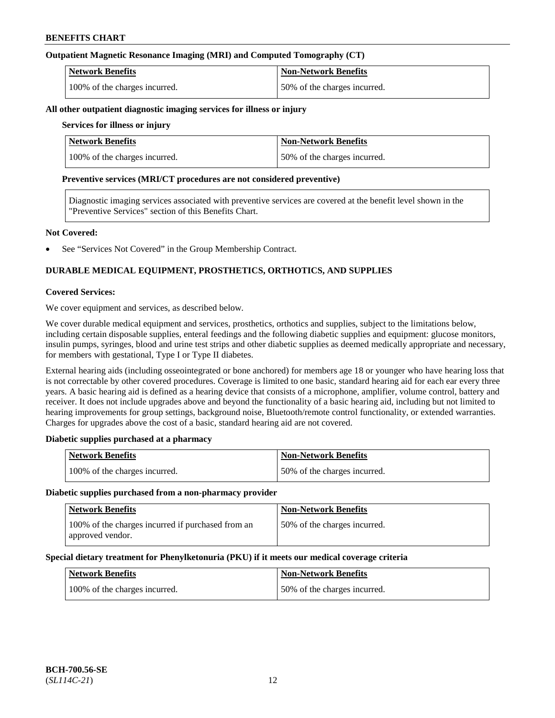## **Outpatient Magnetic Resonance Imaging (MRI) and Computed Tomography (CT)**

| <b>Network Benefits</b>       | <b>Non-Network Benefits</b>  |
|-------------------------------|------------------------------|
| 100% of the charges incurred. | 50% of the charges incurred. |

#### **All other outpatient diagnostic imaging services for illness or injury**

## **Services for illness or injury**

| <b>Network Benefits</b>       | <b>Non-Network Benefits</b>  |
|-------------------------------|------------------------------|
| 100% of the charges incurred. | 50% of the charges incurred. |

#### **Preventive services (MRI/CT procedures are not considered preventive)**

Diagnostic imaging services associated with preventive services are covered at the benefit level shown in the "Preventive Services" section of this Benefits Chart.

#### **Not Covered:**

See "Services Not Covered" in the Group Membership Contract.

## **DURABLE MEDICAL EQUIPMENT, PROSTHETICS, ORTHOTICS, AND SUPPLIES**

#### **Covered Services:**

We cover equipment and services, as described below.

We cover durable medical equipment and services, prosthetics, orthotics and supplies, subject to the limitations below, including certain disposable supplies, enteral feedings and the following diabetic supplies and equipment: glucose monitors, insulin pumps, syringes, blood and urine test strips and other diabetic supplies as deemed medically appropriate and necessary, for members with gestational, Type I or Type II diabetes.

External hearing aids (including osseointegrated or bone anchored) for members age 18 or younger who have hearing loss that is not correctable by other covered procedures. Coverage is limited to one basic, standard hearing aid for each ear every three years. A basic hearing aid is defined as a hearing device that consists of a microphone, amplifier, volume control, battery and receiver. It does not include upgrades above and beyond the functionality of a basic hearing aid, including but not limited to hearing improvements for group settings, background noise, Bluetooth/remote control functionality, or extended warranties. Charges for upgrades above the cost of a basic, standard hearing aid are not covered.

## **Diabetic supplies purchased at a pharmacy**

| <b>Network Benefits</b>       | <b>Non-Network Benefits</b>  |
|-------------------------------|------------------------------|
| 100% of the charges incurred. | 50% of the charges incurred. |

#### **Diabetic supplies purchased from a non-pharmacy provider**

| <b>Network Benefits</b>                                               | <b>Non-Network Benefits</b>  |
|-----------------------------------------------------------------------|------------------------------|
| 100% of the charges incurred if purchased from an<br>approved vendor. | 50% of the charges incurred. |

#### **Special dietary treatment for Phenylketonuria (PKU) if it meets our medical coverage criteria**

| <b>Network Benefits</b>       | <b>Non-Network Benefits</b>  |
|-------------------------------|------------------------------|
| 100% of the charges incurred. | 50% of the charges incurred. |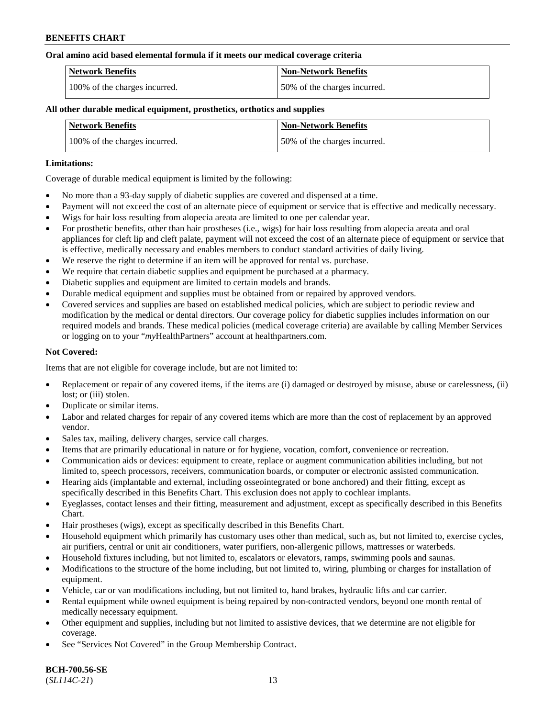#### **Oral amino acid based elemental formula if it meets our medical coverage criteria**

| Network Benefits              | Non-Network Benefits         |
|-------------------------------|------------------------------|
| 100% of the charges incurred. | 50% of the charges incurred. |

### **All other durable medical equipment, prosthetics, orthotics and supplies**

| <b>Network Benefits</b>       | <b>Non-Network Benefits</b>  |
|-------------------------------|------------------------------|
| 100% of the charges incurred. | 50% of the charges incurred. |

#### **Limitations:**

Coverage of durable medical equipment is limited by the following:

- No more than a 93-day supply of diabetic supplies are covered and dispensed at a time.
- Payment will not exceed the cost of an alternate piece of equipment or service that is effective and medically necessary.
- Wigs for hair loss resulting from alopecia areata are limited to one per calendar year.
- For prosthetic benefits, other than hair prostheses (i.e., wigs) for hair loss resulting from alopecia areata and oral appliances for cleft lip and cleft palate, payment will not exceed the cost of an alternate piece of equipment or service that is effective, medically necessary and enables members to conduct standard activities of daily living.
- We reserve the right to determine if an item will be approved for rental vs. purchase.
- We require that certain diabetic supplies and equipment be purchased at a pharmacy.
- Diabetic supplies and equipment are limited to certain models and brands.
- Durable medical equipment and supplies must be obtained from or repaired by approved vendors.
- Covered services and supplies are based on established medical policies, which are subject to periodic review and modification by the medical or dental directors. Our coverage policy for diabetic supplies includes information on our required models and brands. These medical policies (medical coverage criteria) are available by calling Member Services or logging on to your "*my*HealthPartners" account a[t healthpartners.com.](https://www.healthpartners.com/hp/index.html)

## **Not Covered:**

Items that are not eligible for coverage include, but are not limited to:

- Replacement or repair of any covered items, if the items are (i) damaged or destroyed by misuse, abuse or carelessness, (ii) lost; or (iii) stolen.
- Duplicate or similar items.
- Labor and related charges for repair of any covered items which are more than the cost of replacement by an approved vendor.
- Sales tax, mailing, delivery charges, service call charges.
- Items that are primarily educational in nature or for hygiene, vocation, comfort, convenience or recreation.
- Communication aids or devices: equipment to create, replace or augment communication abilities including, but not limited to, speech processors, receivers, communication boards, or computer or electronic assisted communication.
- Hearing aids (implantable and external, including osseointegrated or bone anchored) and their fitting, except as specifically described in this Benefits Chart. This exclusion does not apply to cochlear implants.
- Eyeglasses, contact lenses and their fitting, measurement and adjustment, except as specifically described in this Benefits Chart.
- Hair prostheses (wigs), except as specifically described in this Benefits Chart.
- Household equipment which primarily has customary uses other than medical, such as, but not limited to, exercise cycles, air purifiers, central or unit air conditioners, water purifiers, non-allergenic pillows, mattresses or waterbeds.
- Household fixtures including, but not limited to, escalators or elevators, ramps, swimming pools and saunas.
- Modifications to the structure of the home including, but not limited to, wiring, plumbing or charges for installation of equipment.
- Vehicle, car or van modifications including, but not limited to, hand brakes, hydraulic lifts and car carrier.
- Rental equipment while owned equipment is being repaired by non-contracted vendors, beyond one month rental of medically necessary equipment.
- Other equipment and supplies, including but not limited to assistive devices, that we determine are not eligible for coverage.
- See "Services Not Covered" in the Group Membership Contract.

**BCH-700.56-SE** (*SL114C-21*) 13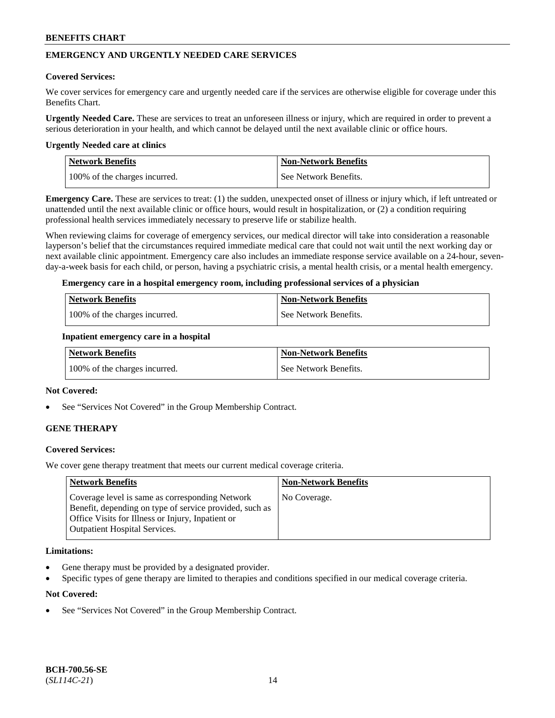## **EMERGENCY AND URGENTLY NEEDED CARE SERVICES**

#### **Covered Services:**

We cover services for emergency care and urgently needed care if the services are otherwise eligible for coverage under this Benefits Chart.

**Urgently Needed Care.** These are services to treat an unforeseen illness or injury, which are required in order to prevent a serious deterioration in your health, and which cannot be delayed until the next available clinic or office hours.

#### **Urgently Needed care at clinics**

| <b>Network Benefits</b>       | <b>Non-Network Benefits</b> |
|-------------------------------|-----------------------------|
| 100% of the charges incurred. | See Network Benefits.       |

**Emergency Care.** These are services to treat: (1) the sudden, unexpected onset of illness or injury which, if left untreated or unattended until the next available clinic or office hours, would result in hospitalization, or (2) a condition requiring professional health services immediately necessary to preserve life or stabilize health.

When reviewing claims for coverage of emergency services, our medical director will take into consideration a reasonable layperson's belief that the circumstances required immediate medical care that could not wait until the next working day or next available clinic appointment. Emergency care also includes an immediate response service available on a 24-hour, sevenday-a-week basis for each child, or person, having a psychiatric crisis, a mental health crisis, or a mental health emergency.

#### **Emergency care in a hospital emergency room, including professional services of a physician**

| <b>Network Benefits</b>       | Non-Network Benefits    |
|-------------------------------|-------------------------|
| 100% of the charges incurred. | l See Network Benefits. |

#### **Inpatient emergency care in a hospital**

| Network Benefits              | Non-Network Benefits  |
|-------------------------------|-----------------------|
| 100% of the charges incurred. | See Network Benefits. |

### **Not Covered:**

See "Services Not Covered" in the Group Membership Contract.

## **GENE THERAPY**

## **Covered Services:**

We cover gene therapy treatment that meets our current medical coverage criteria.

| <b>Network Benefits</b>                                                                                                                                                                                 | <b>Non-Network Benefits</b> |
|---------------------------------------------------------------------------------------------------------------------------------------------------------------------------------------------------------|-----------------------------|
| Coverage level is same as corresponding Network<br>Benefit, depending on type of service provided, such as<br>Office Visits for Illness or Injury, Inpatient or<br><b>Outpatient Hospital Services.</b> | No Coverage.                |

#### **Limitations:**

- Gene therapy must be provided by a designated provider.
- Specific types of gene therapy are limited to therapies and conditions specified in our medical coverage criteria.

## **Not Covered:**

See "Services Not Covered" in the Group Membership Contract.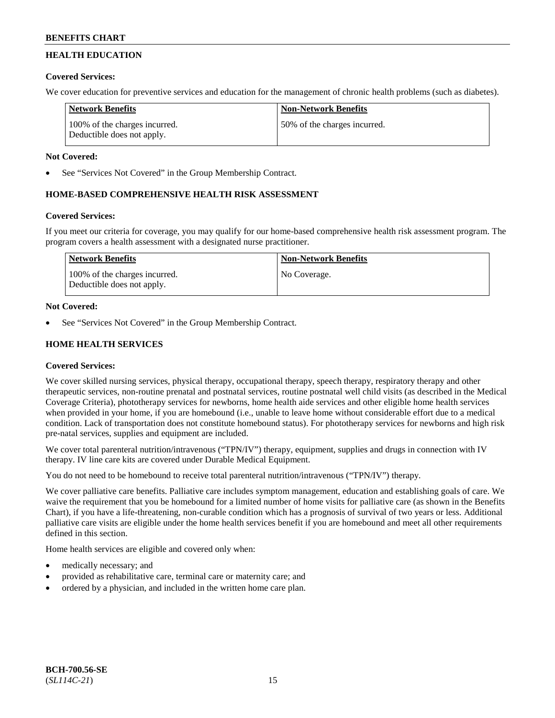## **HEALTH EDUCATION**

## **Covered Services:**

We cover education for preventive services and education for the management of chronic health problems (such as diabetes).

| Network Benefits                                            | <b>Non-Network Benefits</b>   |
|-------------------------------------------------------------|-------------------------------|
| 100% of the charges incurred.<br>Deductible does not apply. | 150% of the charges incurred. |

## **Not Covered:**

See "Services Not Covered" in the Group Membership Contract.

## **HOME-BASED COMPREHENSIVE HEALTH RISK ASSESSMENT**

## **Covered Services:**

If you meet our criteria for coverage, you may qualify for our home-based comprehensive health risk assessment program. The program covers a health assessment with a designated nurse practitioner.

| Network Benefits                                            | <b>Non-Network Benefits</b> |
|-------------------------------------------------------------|-----------------------------|
| 100% of the charges incurred.<br>Deductible does not apply. | No Coverage.                |

## **Not Covered:**

See "Services Not Covered" in the Group Membership Contract.

## **HOME HEALTH SERVICES**

## **Covered Services:**

We cover skilled nursing services, physical therapy, occupational therapy, speech therapy, respiratory therapy and other therapeutic services, non-routine prenatal and postnatal services, routine postnatal well child visits (as described in the Medical Coverage Criteria), phototherapy services for newborns, home health aide services and other eligible home health services when provided in your home, if you are homebound (i.e., unable to leave home without considerable effort due to a medical condition. Lack of transportation does not constitute homebound status). For phototherapy services for newborns and high risk pre-natal services, supplies and equipment are included.

We cover total parenteral nutrition/intravenous ("TPN/IV") therapy, equipment, supplies and drugs in connection with IV therapy. IV line care kits are covered under Durable Medical Equipment.

You do not need to be homebound to receive total parenteral nutrition/intravenous ("TPN/IV") therapy.

We cover palliative care benefits. Palliative care includes symptom management, education and establishing goals of care. We waive the requirement that you be homebound for a limited number of home visits for palliative care (as shown in the Benefits Chart), if you have a life-threatening, non-curable condition which has a prognosis of survival of two years or less. Additional palliative care visits are eligible under the home health services benefit if you are homebound and meet all other requirements defined in this section.

Home health services are eligible and covered only when:

- medically necessary; and
- provided as rehabilitative care, terminal care or maternity care; and
- ordered by a physician, and included in the written home care plan.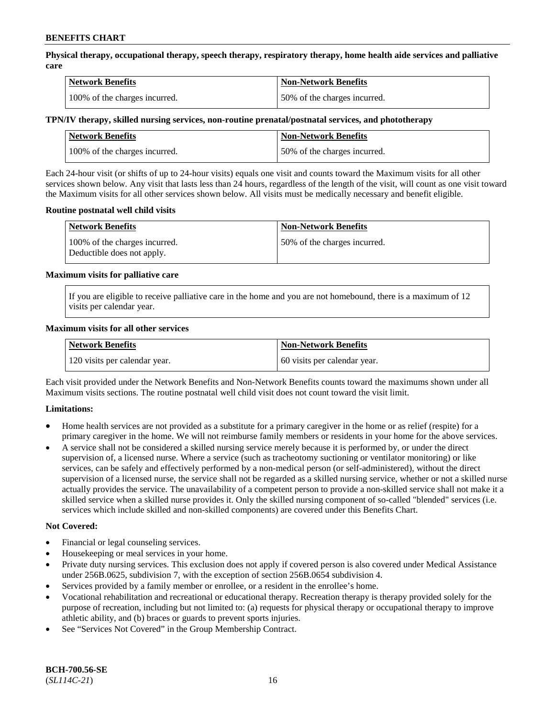**Physical therapy, occupational therapy, speech therapy, respiratory therapy, home health aide services and palliative care**

| <b>Network Benefits</b>       | <b>Non-Network Benefits</b>  |
|-------------------------------|------------------------------|
| 100% of the charges incurred. | 50% of the charges incurred. |

## **TPN/IV therapy, skilled nursing services, non-routine prenatal/postnatal services, and phototherapy**

| <b>Network Benefits</b>       | <b>Non-Network Benefits</b>  |
|-------------------------------|------------------------------|
| 100% of the charges incurred. | 50% of the charges incurred. |

Each 24-hour visit (or shifts of up to 24-hour visits) equals one visit and counts toward the Maximum visits for all other services shown below. Any visit that lasts less than 24 hours, regardless of the length of the visit, will count as one visit toward the Maximum visits for all other services shown below. All visits must be medically necessary and benefit eligible.

#### **Routine postnatal well child visits**

| <b>Network Benefits</b>                                     | <b>Non-Network Benefits</b>  |
|-------------------------------------------------------------|------------------------------|
| 100% of the charges incurred.<br>Deductible does not apply. | 50% of the charges incurred. |

#### **Maximum visits for palliative care**

If you are eligible to receive palliative care in the home and you are not homebound, there is a maximum of 12 visits per calendar year.

#### **Maximum visits for all other services**

| <b>Network Benefits</b>       | <b>Non-Network Benefits</b>  |
|-------------------------------|------------------------------|
| 120 visits per calendar year. | 60 visits per calendar year. |

Each visit provided under the Network Benefits and Non-Network Benefits counts toward the maximums shown under all Maximum visits sections. The routine postnatal well child visit does not count toward the visit limit.

## **Limitations:**

- Home health services are not provided as a substitute for a primary caregiver in the home or as relief (respite) for a primary caregiver in the home. We will not reimburse family members or residents in your home for the above services.
- A service shall not be considered a skilled nursing service merely because it is performed by, or under the direct supervision of, a licensed nurse. Where a service (such as tracheotomy suctioning or ventilator monitoring) or like services, can be safely and effectively performed by a non-medical person (or self-administered), without the direct supervision of a licensed nurse, the service shall not be regarded as a skilled nursing service, whether or not a skilled nurse actually provides the service. The unavailability of a competent person to provide a non-skilled service shall not make it a skilled service when a skilled nurse provides it. Only the skilled nursing component of so-called "blended" services (i.e. services which include skilled and non-skilled components) are covered under this Benefits Chart.

#### **Not Covered:**

- Financial or legal counseling services.
- Housekeeping or meal services in your home.
- Private duty nursing services. This exclusion does not apply if covered person is also covered under Medical Assistance under 256B.0625, subdivision 7, with the exception of section 256B.0654 subdivision 4.
- Services provided by a family member or enrollee, or a resident in the enrollee's home.
- Vocational rehabilitation and recreational or educational therapy. Recreation therapy is therapy provided solely for the purpose of recreation, including but not limited to: (a) requests for physical therapy or occupational therapy to improve athletic ability, and (b) braces or guards to prevent sports injuries.
- See "Services Not Covered" in the Group Membership Contract.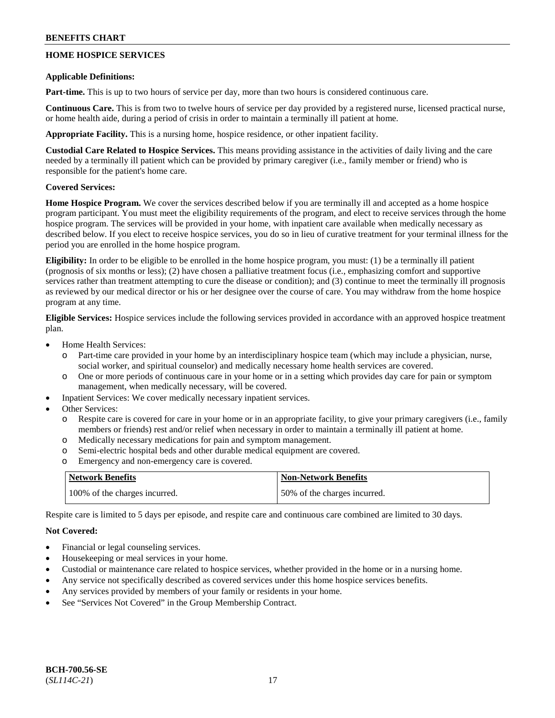## **HOME HOSPICE SERVICES**

### **Applicable Definitions:**

**Part-time.** This is up to two hours of service per day, more than two hours is considered continuous care.

**Continuous Care.** This is from two to twelve hours of service per day provided by a registered nurse, licensed practical nurse, or home health aide, during a period of crisis in order to maintain a terminally ill patient at home.

**Appropriate Facility.** This is a nursing home, hospice residence, or other inpatient facility.

**Custodial Care Related to Hospice Services.** This means providing assistance in the activities of daily living and the care needed by a terminally ill patient which can be provided by primary caregiver (i.e., family member or friend) who is responsible for the patient's home care.

## **Covered Services:**

**Home Hospice Program.** We cover the services described below if you are terminally ill and accepted as a home hospice program participant. You must meet the eligibility requirements of the program, and elect to receive services through the home hospice program. The services will be provided in your home, with inpatient care available when medically necessary as described below. If you elect to receive hospice services, you do so in lieu of curative treatment for your terminal illness for the period you are enrolled in the home hospice program.

**Eligibility:** In order to be eligible to be enrolled in the home hospice program, you must: (1) be a terminally ill patient (prognosis of six months or less); (2) have chosen a palliative treatment focus (i.e., emphasizing comfort and supportive services rather than treatment attempting to cure the disease or condition); and (3) continue to meet the terminally ill prognosis as reviewed by our medical director or his or her designee over the course of care. You may withdraw from the home hospice program at any time.

**Eligible Services:** Hospice services include the following services provided in accordance with an approved hospice treatment plan.

- Home Health Services:
	- o Part-time care provided in your home by an interdisciplinary hospice team (which may include a physician, nurse, social worker, and spiritual counselor) and medically necessary home health services are covered.
	- o One or more periods of continuous care in your home or in a setting which provides day care for pain or symptom management, when medically necessary, will be covered.
- Inpatient Services: We cover medically necessary inpatient services.
- Other Services:
	- o Respite care is covered for care in your home or in an appropriate facility, to give your primary caregivers (i.e., family members or friends) rest and/or relief when necessary in order to maintain a terminally ill patient at home.
	- o Medically necessary medications for pain and symptom management.
	- o Semi-electric hospital beds and other durable medical equipment are covered.
	- o Emergency and non-emergency care is covered.

| <b>Network Benefits</b>       | <b>Non-Network Benefits</b>  |
|-------------------------------|------------------------------|
| 100% of the charges incurred. | 50% of the charges incurred. |

Respite care is limited to 5 days per episode, and respite care and continuous care combined are limited to 30 days.

## **Not Covered:**

- Financial or legal counseling services.
- Housekeeping or meal services in your home.
- Custodial or maintenance care related to hospice services, whether provided in the home or in a nursing home.
- Any service not specifically described as covered services under this home hospice services benefits.
- Any services provided by members of your family or residents in your home.
- See "Services Not Covered" in the Group Membership Contract.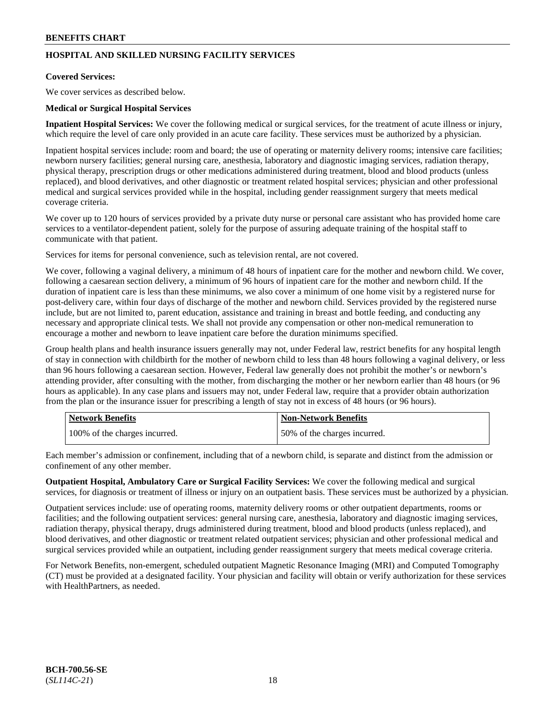## **HOSPITAL AND SKILLED NURSING FACILITY SERVICES**

## **Covered Services:**

We cover services as described below.

### **Medical or Surgical Hospital Services**

**Inpatient Hospital Services:** We cover the following medical or surgical services, for the treatment of acute illness or injury, which require the level of care only provided in an acute care facility. These services must be authorized by a physician.

Inpatient hospital services include: room and board; the use of operating or maternity delivery rooms; intensive care facilities; newborn nursery facilities; general nursing care, anesthesia, laboratory and diagnostic imaging services, radiation therapy, physical therapy, prescription drugs or other medications administered during treatment, blood and blood products (unless replaced), and blood derivatives, and other diagnostic or treatment related hospital services; physician and other professional medical and surgical services provided while in the hospital, including gender reassignment surgery that meets medical coverage criteria.

We cover up to 120 hours of services provided by a private duty nurse or personal care assistant who has provided home care services to a ventilator-dependent patient, solely for the purpose of assuring adequate training of the hospital staff to communicate with that patient.

Services for items for personal convenience, such as television rental, are not covered.

We cover, following a vaginal delivery, a minimum of 48 hours of inpatient care for the mother and newborn child. We cover, following a caesarean section delivery, a minimum of 96 hours of inpatient care for the mother and newborn child. If the duration of inpatient care is less than these minimums, we also cover a minimum of one home visit by a registered nurse for post-delivery care, within four days of discharge of the mother and newborn child. Services provided by the registered nurse include, but are not limited to, parent education, assistance and training in breast and bottle feeding, and conducting any necessary and appropriate clinical tests. We shall not provide any compensation or other non-medical remuneration to encourage a mother and newborn to leave inpatient care before the duration minimums specified.

Group health plans and health insurance issuers generally may not, under Federal law, restrict benefits for any hospital length of stay in connection with childbirth for the mother of newborn child to less than 48 hours following a vaginal delivery, or less than 96 hours following a caesarean section. However, Federal law generally does not prohibit the mother's or newborn's attending provider, after consulting with the mother, from discharging the mother or her newborn earlier than 48 hours (or 96 hours as applicable). In any case plans and issuers may not, under Federal law, require that a provider obtain authorization from the plan or the insurance issuer for prescribing a length of stay not in excess of 48 hours (or 96 hours).

| <b>Network Benefits</b>       | Non-Network Benefits         |
|-------------------------------|------------------------------|
| 100% of the charges incurred. | 50% of the charges incurred. |

Each member's admission or confinement, including that of a newborn child, is separate and distinct from the admission or confinement of any other member.

**Outpatient Hospital, Ambulatory Care or Surgical Facility Services:** We cover the following medical and surgical services, for diagnosis or treatment of illness or injury on an outpatient basis. These services must be authorized by a physician.

Outpatient services include: use of operating rooms, maternity delivery rooms or other outpatient departments, rooms or facilities; and the following outpatient services: general nursing care, anesthesia, laboratory and diagnostic imaging services, radiation therapy, physical therapy, drugs administered during treatment, blood and blood products (unless replaced), and blood derivatives, and other diagnostic or treatment related outpatient services; physician and other professional medical and surgical services provided while an outpatient, including gender reassignment surgery that meets medical coverage criteria.

For Network Benefits, non-emergent, scheduled outpatient Magnetic Resonance Imaging (MRI) and Computed Tomography (CT) must be provided at a designated facility. Your physician and facility will obtain or verify authorization for these services with HealthPartners, as needed.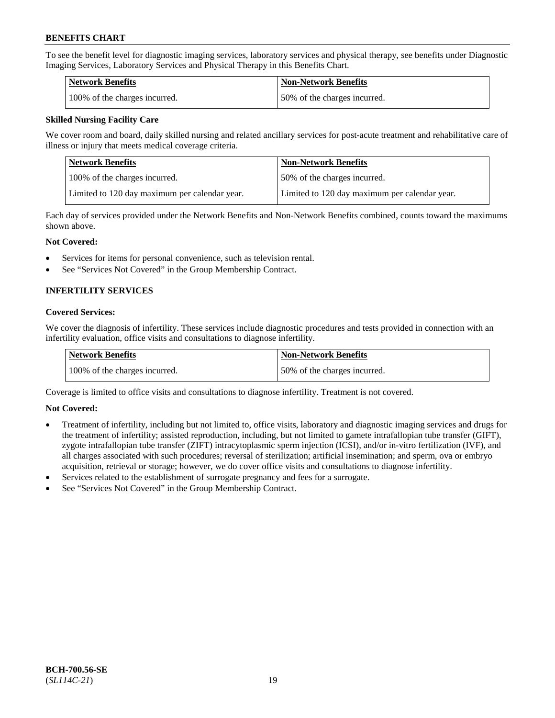To see the benefit level for diagnostic imaging services, laboratory services and physical therapy, see benefits under Diagnostic Imaging Services, Laboratory Services and Physical Therapy in this Benefits Chart.

| <b>Network Benefits</b>       | Non-Network Benefits         |
|-------------------------------|------------------------------|
| 100% of the charges incurred. | 50% of the charges incurred. |

## **Skilled Nursing Facility Care**

We cover room and board, daily skilled nursing and related ancillary services for post-acute treatment and rehabilitative care of illness or injury that meets medical coverage criteria.

| Network Benefits                              | <b>Non-Network Benefits</b>                   |
|-----------------------------------------------|-----------------------------------------------|
| 100\% of the charges incurred.                | 50% of the charges incurred.                  |
| Limited to 120 day maximum per calendar year. | Limited to 120 day maximum per calendar year. |

Each day of services provided under the Network Benefits and Non-Network Benefits combined, counts toward the maximums shown above.

#### **Not Covered:**

- Services for items for personal convenience, such as television rental.
- See "Services Not Covered" in the Group Membership Contract.

## **INFERTILITY SERVICES**

#### **Covered Services:**

We cover the diagnosis of infertility. These services include diagnostic procedures and tests provided in connection with an infertility evaluation, office visits and consultations to diagnose infertility.

| Network Benefits              | <b>Non-Network Benefits</b>  |
|-------------------------------|------------------------------|
| 100% of the charges incurred. | 50% of the charges incurred. |

Coverage is limited to office visits and consultations to diagnose infertility. Treatment is not covered.

## **Not Covered:**

- Treatment of infertility, including but not limited to, office visits, laboratory and diagnostic imaging services and drugs for the treatment of infertility; assisted reproduction, including, but not limited to gamete intrafallopian tube transfer (GIFT), zygote intrafallopian tube transfer (ZIFT) intracytoplasmic sperm injection (ICSI), and/or in-vitro fertilization (IVF), and all charges associated with such procedures; reversal of sterilization; artificial insemination; and sperm, ova or embryo acquisition, retrieval or storage; however, we do cover office visits and consultations to diagnose infertility.
- Services related to the establishment of surrogate pregnancy and fees for a surrogate.
- See "Services Not Covered" in the Group Membership Contract.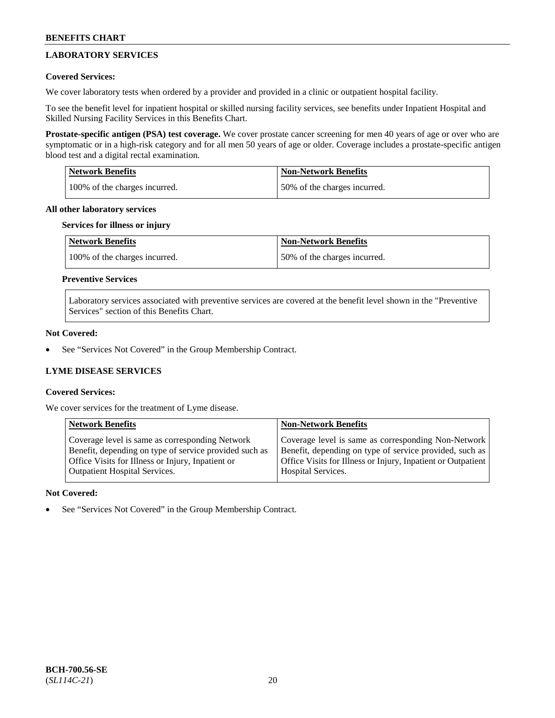## **LABORATORY SERVICES**

## **Covered Services:**

We cover laboratory tests when ordered by a provider and provided in a clinic or outpatient hospital facility.

To see the benefit level for inpatient hospital or skilled nursing facility services, see benefits under Inpatient Hospital and Skilled Nursing Facility Services in this Benefits Chart.

**Prostate-specific antigen (PSA) test coverage.** We cover prostate cancer screening for men 40 years of age or over who are symptomatic or in a high-risk category and for all men 50 years of age or older. Coverage includes a prostate-specific antigen blood test and a digital rectal examination.

| <b>Network Benefits</b>       | <b>Non-Network Benefits</b>  |
|-------------------------------|------------------------------|
| 100% of the charges incurred. | 50% of the charges incurred. |

#### **All other laboratory services**

#### **Services for illness or injury**

| <b>Network Benefits</b>       | <b>Non-Network Benefits</b>  |
|-------------------------------|------------------------------|
| 100% of the charges incurred. | 50% of the charges incurred. |

## **Preventive Services**

Laboratory services associated with preventive services are covered at the benefit level shown in the "Preventive Services" section of this Benefits Chart.

#### **Not Covered:**

See "Services Not Covered" in the Group Membership Contract.

## **LYME DISEASE SERVICES**

## **Covered Services:**

We cover services for the treatment of Lyme disease.

| <b>Network Benefits</b>                                | <b>Non-Network Benefits</b>                                  |
|--------------------------------------------------------|--------------------------------------------------------------|
| Coverage level is same as corresponding Network        | Coverage level is same as corresponding Non-Network          |
| Benefit, depending on type of service provided such as | Benefit, depending on type of service provided, such as      |
| Office Visits for Illness or Injury, Inpatient or      | Office Visits for Illness or Injury, Inpatient or Outpatient |
| <b>Outpatient Hospital Services.</b>                   | Hospital Services.                                           |

## **Not Covered:**

See "Services Not Covered" in the Group Membership Contract.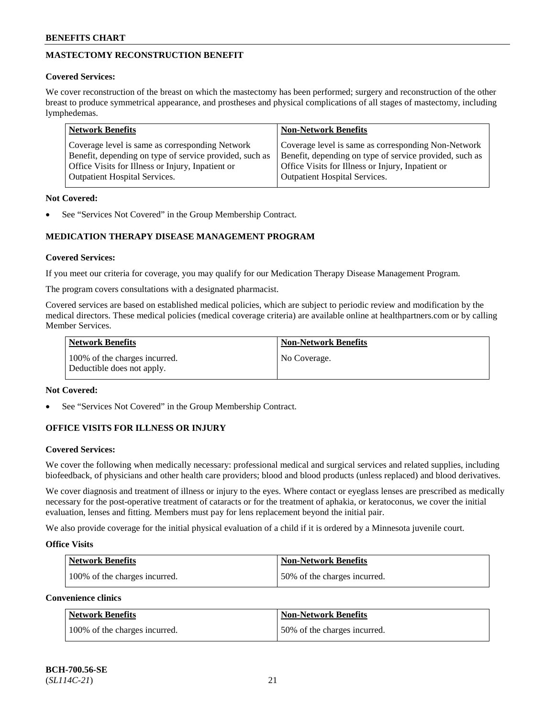## **MASTECTOMY RECONSTRUCTION BENEFIT**

## **Covered Services:**

We cover reconstruction of the breast on which the mastectomy has been performed; surgery and reconstruction of the other breast to produce symmetrical appearance, and prostheses and physical complications of all stages of mastectomy, including lymphedemas.

| <b>Network Benefits</b>                                 | <b>Non-Network Benefits</b>                             |
|---------------------------------------------------------|---------------------------------------------------------|
| Coverage level is same as corresponding Network         | Coverage level is same as corresponding Non-Network     |
| Benefit, depending on type of service provided, such as | Benefit, depending on type of service provided, such as |
| Office Visits for Illness or Injury, Inpatient or       | Office Visits for Illness or Injury, Inpatient or       |
| <b>Outpatient Hospital Services.</b>                    | <b>Outpatient Hospital Services.</b>                    |

## **Not Covered:**

See "Services Not Covered" in the Group Membership Contract.

## **MEDICATION THERAPY DISEASE MANAGEMENT PROGRAM**

## **Covered Services:**

If you meet our criteria for coverage, you may qualify for our Medication Therapy Disease Management Program.

The program covers consultations with a designated pharmacist.

Covered services are based on established medical policies, which are subject to periodic review and modification by the medical directors. These medical policies (medical coverage criteria) are available online at [healthpartners.com](https://www.healthpartners.com/hp/index.html) or by calling Member Services.

| Network Benefits                                            | <b>Non-Network Benefits</b> |
|-------------------------------------------------------------|-----------------------------|
| 100% of the charges incurred.<br>Deductible does not apply. | No Coverage.                |

## **Not Covered:**

See "Services Not Covered" in the Group Membership Contract.

## **OFFICE VISITS FOR ILLNESS OR INJURY**

## **Covered Services:**

We cover the following when medically necessary: professional medical and surgical services and related supplies, including biofeedback, of physicians and other health care providers; blood and blood products (unless replaced) and blood derivatives.

We cover diagnosis and treatment of illness or injury to the eyes. Where contact or eyeglass lenses are prescribed as medically necessary for the post-operative treatment of cataracts or for the treatment of aphakia, or keratoconus, we cover the initial evaluation, lenses and fitting. Members must pay for lens replacement beyond the initial pair.

We also provide coverage for the initial physical evaluation of a child if it is ordered by a Minnesota juvenile court.

## **Office Visits**

| <b>Network Benefits</b>       | <b>Non-Network Benefits</b>  |
|-------------------------------|------------------------------|
| 100% of the charges incurred. | 50% of the charges incurred. |

**Convenience clinics**

| Network Benefits              | <b>Non-Network Benefits</b>  |
|-------------------------------|------------------------------|
| 100% of the charges incurred. | 50% of the charges incurred. |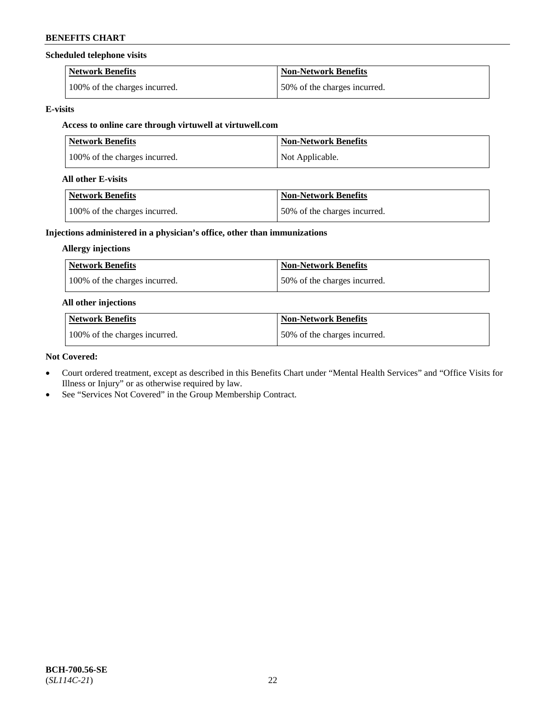#### **Scheduled telephone visits**

| <b>Network Benefits</b>       | Non-Network Benefits         |
|-------------------------------|------------------------------|
| 100% of the charges incurred. | 50% of the charges incurred. |

#### **E-visits**

## **Access to online care through virtuwell at [virtuwell.com](https://www.virtuwell.com/)**

| <b>Network Benefits</b>       | Non-Network Benefits |
|-------------------------------|----------------------|
| 100% of the charges incurred. | Not Applicable.      |

#### **All other E-visits**

| Network Benefits              | <b>Non-Network Benefits</b>  |
|-------------------------------|------------------------------|
| 100% of the charges incurred. | 50% of the charges incurred. |

## **Injections administered in a physician's office, other than immunizations**

### **Allergy injections**

| <b>Network Benefits</b>       | <b>Non-Network Benefits</b>  |
|-------------------------------|------------------------------|
| 100% of the charges incurred. | 50% of the charges incurred. |

### **All other injections**

| <b>Network Benefits</b>       | <b>Non-Network Benefits</b>  |
|-------------------------------|------------------------------|
| 100% of the charges incurred. | 50% of the charges incurred. |

#### **Not Covered:**

- Court ordered treatment, except as described in this Benefits Chart under "Mental Health Services" and "Office Visits for Illness or Injury" or as otherwise required by law.
- See "Services Not Covered" in the Group Membership Contract.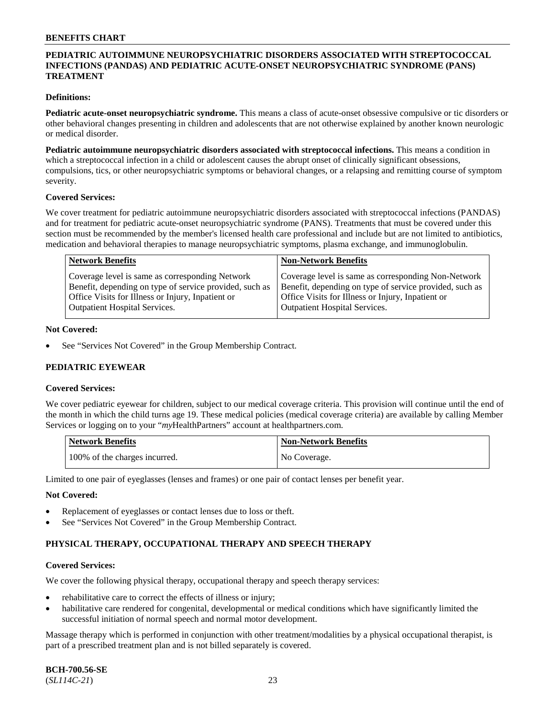## **PEDIATRIC AUTOIMMUNE NEUROPSYCHIATRIC DISORDERS ASSOCIATED WITH STREPTOCOCCAL INFECTIONS (PANDAS) AND PEDIATRIC ACUTE-ONSET NEUROPSYCHIATRIC SYNDROME (PANS) TREATMENT**

### **Definitions:**

**Pediatric acute-onset neuropsychiatric syndrome.** This means a class of acute-onset obsessive compulsive or tic disorders or other behavioral changes presenting in children and adolescents that are not otherwise explained by another known neurologic or medical disorder.

**Pediatric autoimmune neuropsychiatric disorders associated with streptococcal infections.** This means a condition in which a streptococcal infection in a child or adolescent causes the abrupt onset of clinically significant obsessions, compulsions, tics, or other neuropsychiatric symptoms or behavioral changes, or a relapsing and remitting course of symptom severity.

#### **Covered Services:**

We cover treatment for pediatric autoimmune neuropsychiatric disorders associated with streptococcal infections (PANDAS) and for treatment for pediatric acute-onset neuropsychiatric syndrome (PANS). Treatments that must be covered under this section must be recommended by the member's licensed health care professional and include but are not limited to antibiotics, medication and behavioral therapies to manage neuropsychiatric symptoms, plasma exchange, and immunoglobulin.

| <b>Network Benefits</b>                                                                                                                                         | <b>Non-Network Benefits</b>                                                                                                                                         |
|-----------------------------------------------------------------------------------------------------------------------------------------------------------------|---------------------------------------------------------------------------------------------------------------------------------------------------------------------|
| Coverage level is same as corresponding Network<br>Benefit, depending on type of service provided, such as<br>Office Visits for Illness or Injury, Inpatient or | Coverage level is same as corresponding Non-Network<br>Benefit, depending on type of service provided, such as<br>Office Visits for Illness or Injury, Inpatient or |
| <b>Outpatient Hospital Services.</b>                                                                                                                            | <b>Outpatient Hospital Services.</b>                                                                                                                                |

#### **Not Covered:**

See "Services Not Covered" in the Group Membership Contract.

## **PEDIATRIC EYEWEAR**

#### **Covered Services:**

We cover pediatric eyewear for children, subject to our medical coverage criteria. This provision will continue until the end of the month in which the child turns age 19. These medical policies (medical coverage criteria) are available by calling Member Services or logging on to your "*my*HealthPartners" account at [healthpartners.com.](https://www.healthpartners.com/hp/index.html)

| Network Benefits              | <b>Non-Network Benefits</b> |
|-------------------------------|-----------------------------|
| 100% of the charges incurred. | No Coverage.                |

Limited to one pair of eyeglasses (lenses and frames) or one pair of contact lenses per benefit year.

#### **Not Covered:**

- Replacement of eyeglasses or contact lenses due to loss or theft.
- See "Services Not Covered" in the Group Membership Contract.

## **PHYSICAL THERAPY, OCCUPATIONAL THERAPY AND SPEECH THERAPY**

#### **Covered Services:**

We cover the following physical therapy, occupational therapy and speech therapy services:

- rehabilitative care to correct the effects of illness or injury;
- habilitative care rendered for congenital, developmental or medical conditions which have significantly limited the successful initiation of normal speech and normal motor development.

Massage therapy which is performed in conjunction with other treatment/modalities by a physical occupational therapist, is part of a prescribed treatment plan and is not billed separately is covered.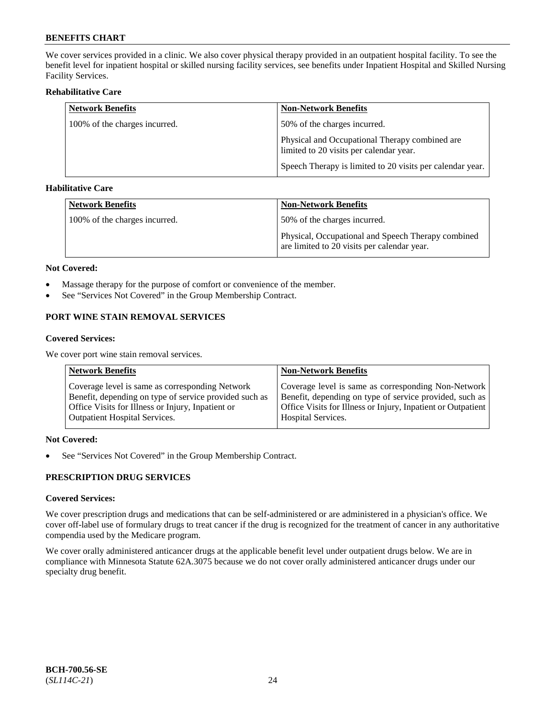We cover services provided in a clinic. We also cover physical therapy provided in an outpatient hospital facility. To see the benefit level for inpatient hospital or skilled nursing facility services, see benefits under Inpatient Hospital and Skilled Nursing Facility Services.

## **Rehabilitative Care**

| <b>Network Benefits</b>       | <b>Non-Network Benefits</b>                                                               |
|-------------------------------|-------------------------------------------------------------------------------------------|
| 100% of the charges incurred. | 50% of the charges incurred.                                                              |
|                               | Physical and Occupational Therapy combined are<br>limited to 20 visits per calendar year. |
|                               | Speech Therapy is limited to 20 visits per calendar year.                                 |

## **Habilitative Care**

| <b>Network Benefits</b>       | Non-Network Benefits                                                                              |
|-------------------------------|---------------------------------------------------------------------------------------------------|
| 100% of the charges incurred. | 50% of the charges incurred.                                                                      |
|                               | Physical, Occupational and Speech Therapy combined<br>are limited to 20 visits per calendar year. |

#### **Not Covered:**

- Massage therapy for the purpose of comfort or convenience of the member.
- See "Services Not Covered" in the Group Membership Contract.

## **PORT WINE STAIN REMOVAL SERVICES**

#### **Covered Services:**

We cover port wine stain removal services.

| <b>Network Benefits</b>                                | <b>Non-Network Benefits</b>                                  |
|--------------------------------------------------------|--------------------------------------------------------------|
| Coverage level is same as corresponding Network        | Coverage level is same as corresponding Non-Network          |
| Benefit, depending on type of service provided such as | Benefit, depending on type of service provided, such as      |
| Office Visits for Illness or Injury, Inpatient or      | Office Visits for Illness or Injury, Inpatient or Outpatient |
| <b>Outpatient Hospital Services.</b>                   | <b>Hospital Services.</b>                                    |

## **Not Covered:**

• See "Services Not Covered" in the Group Membership Contract.

## **PRESCRIPTION DRUG SERVICES**

## **Covered Services:**

We cover prescription drugs and medications that can be self-administered or are administered in a physician's office. We cover off-label use of formulary drugs to treat cancer if the drug is recognized for the treatment of cancer in any authoritative compendia used by the Medicare program.

We cover orally administered anticancer drugs at the applicable benefit level under outpatient drugs below. We are in compliance with Minnesota Statute 62A.3075 because we do not cover orally administered anticancer drugs under our specialty drug benefit.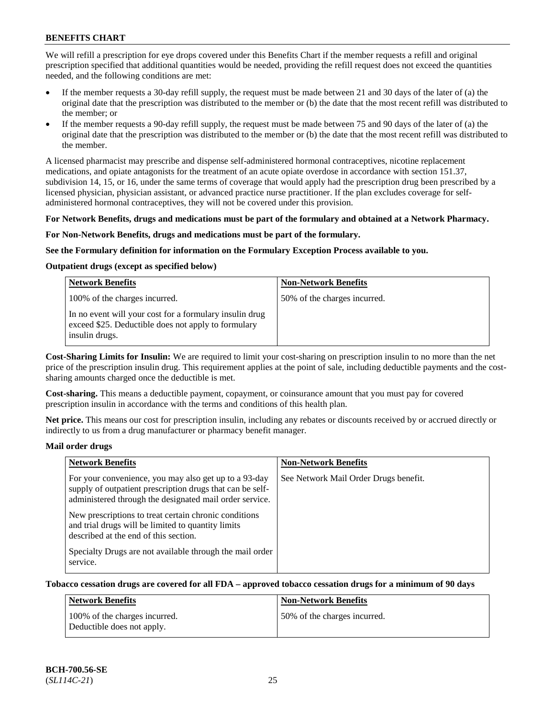We will refill a prescription for eye drops covered under this Benefits Chart if the member requests a refill and original prescription specified that additional quantities would be needed, providing the refill request does not exceed the quantities needed, and the following conditions are met:

- If the member requests a 30-day refill supply, the request must be made between 21 and 30 days of the later of (a) the original date that the prescription was distributed to the member or (b) the date that the most recent refill was distributed to the member; or
- If the member requests a 90-day refill supply, the request must be made between 75 and 90 days of the later of (a) the original date that the prescription was distributed to the member or (b) the date that the most recent refill was distributed to the member.

A licensed pharmacist may prescribe and dispense self-administered hormonal contraceptives, nicotine replacement medications, and opiate antagonists for the treatment of an acute opiate overdose in accordance with section 151.37, subdivision 14, 15, or 16, under the same terms of coverage that would apply had the prescription drug been prescribed by a licensed physician, physician assistant, or advanced practice nurse practitioner. If the plan excludes coverage for selfadministered hormonal contraceptives, they will not be covered under this provision.

#### **For Network Benefits, drugs and medications must be part of the formulary and obtained at a Network Pharmacy.**

#### **For Non-Network Benefits, drugs and medications must be part of the formulary.**

#### **See the Formulary definition for information on the Formulary Exception Process available to you.**

## **Outpatient drugs (except as specified below)**

| <b>Network Benefits</b>                                                                                                          | <b>Non-Network Benefits</b>  |
|----------------------------------------------------------------------------------------------------------------------------------|------------------------------|
| 100% of the charges incurred.                                                                                                    | 50% of the charges incurred. |
| In no event will your cost for a formulary insulin drug<br>exceed \$25. Deductible does not apply to formulary<br>insulin drugs. |                              |

**Cost-Sharing Limits for Insulin:** We are required to limit your cost-sharing on prescription insulin to no more than the net price of the prescription insulin drug. This requirement applies at the point of sale, including deductible payments and the costsharing amounts charged once the deductible is met.

**Cost-sharing.** This means a deductible payment, copayment, or coinsurance amount that you must pay for covered prescription insulin in accordance with the terms and conditions of this health plan.

**Net price.** This means our cost for prescription insulin, including any rebates or discounts received by or accrued directly or indirectly to us from a drug manufacturer or pharmacy benefit manager.

#### **Mail order drugs**

| <b>Network Benefits</b>                                                                                                                                                       | <b>Non-Network Benefits</b>           |
|-------------------------------------------------------------------------------------------------------------------------------------------------------------------------------|---------------------------------------|
| For your convenience, you may also get up to a 93-day<br>supply of outpatient prescription drugs that can be self-<br>administered through the designated mail order service. | See Network Mail Order Drugs benefit. |
| New prescriptions to treat certain chronic conditions<br>and trial drugs will be limited to quantity limits<br>described at the end of this section.                          |                                       |
| Specialty Drugs are not available through the mail order<br>service.                                                                                                          |                                       |

#### **Tobacco cessation drugs are covered for all FDA – approved tobacco cessation drugs for a minimum of 90 days**

| <b>Network Benefits</b>                                     | <b>Non-Network Benefits</b>  |
|-------------------------------------------------------------|------------------------------|
| 100% of the charges incurred.<br>Deductible does not apply. | 50% of the charges incurred. |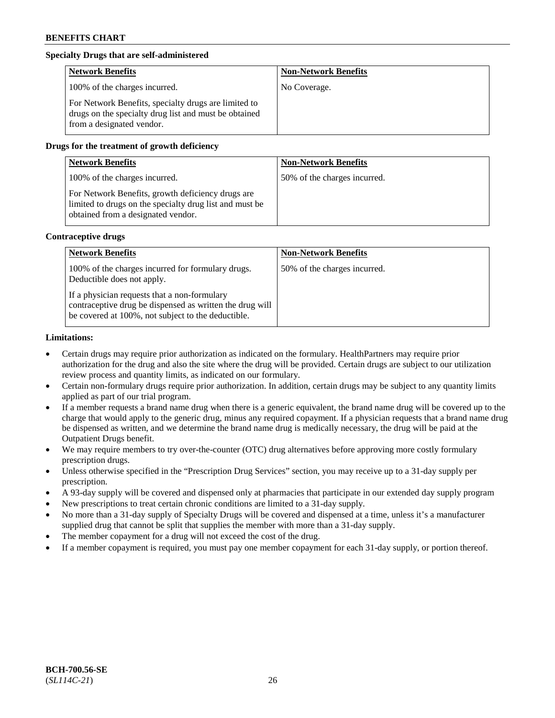## **Specialty Drugs that are self-administered**

| <b>Network Benefits</b>                                                                                                                    | <b>Non-Network Benefits</b> |
|--------------------------------------------------------------------------------------------------------------------------------------------|-----------------------------|
| 100% of the charges incurred.                                                                                                              | No Coverage.                |
| For Network Benefits, specialty drugs are limited to<br>drugs on the specialty drug list and must be obtained<br>from a designated vendor. |                             |

### **Drugs for the treatment of growth deficiency**

| <b>Network Benefits</b>                                                                                                                            | <b>Non-Network Benefits</b>  |
|----------------------------------------------------------------------------------------------------------------------------------------------------|------------------------------|
| 100% of the charges incurred.                                                                                                                      | 50% of the charges incurred. |
| For Network Benefits, growth deficiency drugs are<br>limited to drugs on the specialty drug list and must be<br>obtained from a designated vendor. |                              |

#### **Contraceptive drugs**

| <b>Network Benefits</b>                                                                                                                                        | <b>Non-Network Benefits</b>  |
|----------------------------------------------------------------------------------------------------------------------------------------------------------------|------------------------------|
| 100% of the charges incurred for formulary drugs.<br>Deductible does not apply.                                                                                | 50% of the charges incurred. |
| If a physician requests that a non-formulary<br>contraceptive drug be dispensed as written the drug will<br>be covered at 100%, not subject to the deductible. |                              |

#### **Limitations:**

- Certain drugs may require prior authorization as indicated on the formulary. HealthPartners may require prior authorization for the drug and also the site where the drug will be provided. Certain drugs are subject to our utilization review process and quantity limits, as indicated on our formulary.
- Certain non-formulary drugs require prior authorization. In addition, certain drugs may be subject to any quantity limits applied as part of our trial program.
- If a member requests a brand name drug when there is a generic equivalent, the brand name drug will be covered up to the charge that would apply to the generic drug, minus any required copayment. If a physician requests that a brand name drug be dispensed as written, and we determine the brand name drug is medically necessary, the drug will be paid at the Outpatient Drugs benefit.
- We may require members to try over-the-counter (OTC) drug alternatives before approving more costly formulary prescription drugs.
- Unless otherwise specified in the "Prescription Drug Services" section, you may receive up to a 31-day supply per prescription.
- A 93-day supply will be covered and dispensed only at pharmacies that participate in our extended day supply program
- New prescriptions to treat certain chronic conditions are limited to a 31-day supply.
- No more than a 31-day supply of Specialty Drugs will be covered and dispensed at a time, unless it's a manufacturer supplied drug that cannot be split that supplies the member with more than a 31-day supply.
- The member copayment for a drug will not exceed the cost of the drug.
- If a member copayment is required, you must pay one member copayment for each 31-day supply, or portion thereof.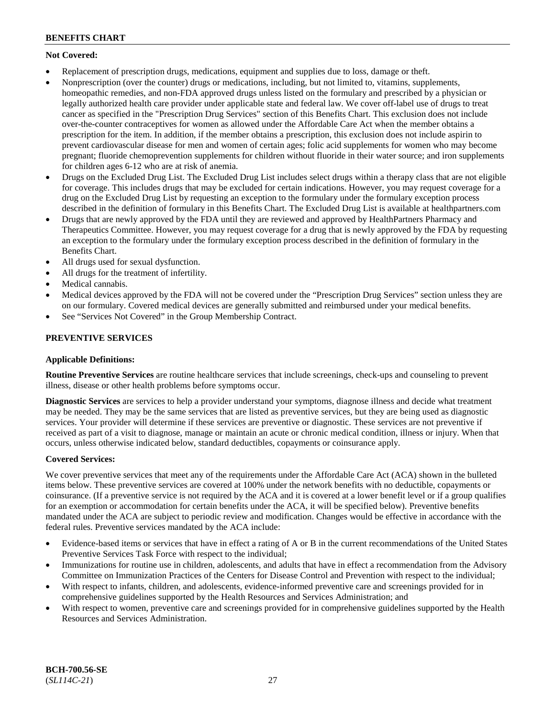## **Not Covered:**

- Replacement of prescription drugs, medications, equipment and supplies due to loss, damage or theft.
- Nonprescription (over the counter) drugs or medications, including, but not limited to, vitamins, supplements, homeopathic remedies, and non-FDA approved drugs unless listed on the formulary and prescribed by a physician or legally authorized health care provider under applicable state and federal law. We cover off-label use of drugs to treat cancer as specified in the "Prescription Drug Services" section of this Benefits Chart. This exclusion does not include over-the-counter contraceptives for women as allowed under the Affordable Care Act when the member obtains a prescription for the item. In addition, if the member obtains a prescription, this exclusion does not include aspirin to prevent cardiovascular disease for men and women of certain ages; folic acid supplements for women who may become pregnant; fluoride chemoprevention supplements for children without fluoride in their water source; and iron supplements for children ages 6-12 who are at risk of anemia.
- Drugs on the Excluded Drug List. The Excluded Drug List includes select drugs within a therapy class that are not eligible for coverage. This includes drugs that may be excluded for certain indications. However, you may request coverage for a drug on the Excluded Drug List by requesting an exception to the formulary under the formulary exception process described in the definition of formulary in this Benefits Chart. The Excluded Drug List is available at [healthpartners.com](http://www.healthpartners.com/)
- Drugs that are newly approved by the FDA until they are reviewed and approved by HealthPartners Pharmacy and Therapeutics Committee. However, you may request coverage for a drug that is newly approved by the FDA by requesting an exception to the formulary under the formulary exception process described in the definition of formulary in the Benefits Chart.
- All drugs used for sexual dysfunction.
- All drugs for the treatment of infertility.
- Medical cannabis.
- Medical devices approved by the FDA will not be covered under the "Prescription Drug Services" section unless they are on our formulary. Covered medical devices are generally submitted and reimbursed under your medical benefits.
- See "Services Not Covered" in the Group Membership Contract.

## **PREVENTIVE SERVICES**

## **Applicable Definitions:**

**Routine Preventive Services** are routine healthcare services that include screenings, check-ups and counseling to prevent illness, disease or other health problems before symptoms occur.

**Diagnostic Services** are services to help a provider understand your symptoms, diagnose illness and decide what treatment may be needed. They may be the same services that are listed as preventive services, but they are being used as diagnostic services. Your provider will determine if these services are preventive or diagnostic. These services are not preventive if received as part of a visit to diagnose, manage or maintain an acute or chronic medical condition, illness or injury. When that occurs, unless otherwise indicated below, standard deductibles, copayments or coinsurance apply.

## **Covered Services:**

We cover preventive services that meet any of the requirements under the Affordable Care Act (ACA) shown in the bulleted items below. These preventive services are covered at 100% under the network benefits with no deductible, copayments or coinsurance. (If a preventive service is not required by the ACA and it is covered at a lower benefit level or if a group qualifies for an exemption or accommodation for certain benefits under the ACA, it will be specified below). Preventive benefits mandated under the ACA are subject to periodic review and modification. Changes would be effective in accordance with the federal rules. Preventive services mandated by the ACA include:

- Evidence-based items or services that have in effect a rating of A or B in the current recommendations of the United States Preventive Services Task Force with respect to the individual;
- Immunizations for routine use in children, adolescents, and adults that have in effect a recommendation from the Advisory Committee on Immunization Practices of the Centers for Disease Control and Prevention with respect to the individual;
- With respect to infants, children, and adolescents, evidence-informed preventive care and screenings provided for in comprehensive guidelines supported by the Health Resources and Services Administration; and
- With respect to women, preventive care and screenings provided for in comprehensive guidelines supported by the Health Resources and Services Administration.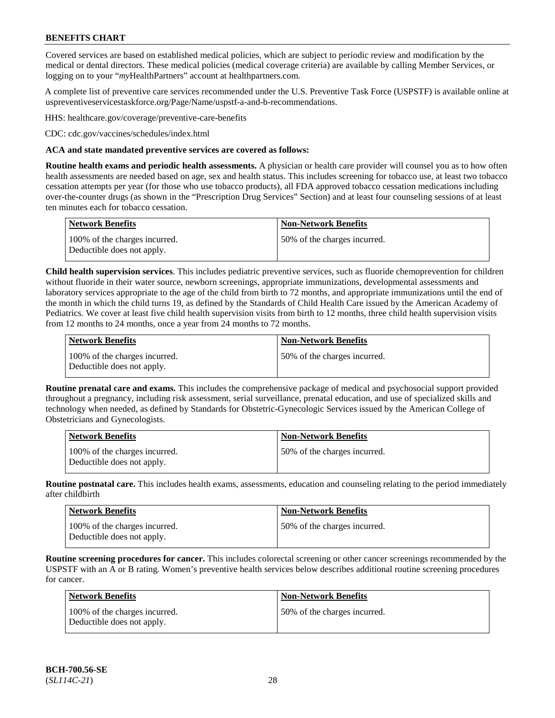Covered services are based on established medical policies, which are subject to periodic review and modification by the medical or dental directors. These medical policies (medical coverage criteria) are available by calling Member Services, or logging on to your "*my*HealthPartners" account at [healthpartners.com.](http://www.healthpartners.com/)

A complete list of preventive care services recommended under the U.S. Preventive Task Force (USPSTF) is available online at [uspreventiveservicestaskforce.org/Page/Name/uspstf-a-and-b-recommendations.](https://www.uspreventiveservicestaskforce.org/Page/Name/uspstf-a-and-b-recommendations-by-date/)

HHS: [healthcare.gov/coverage/preventive-care-benefits](https://www.healthcare.gov/coverage/preventive-care-benefits/)

CDC: [cdc.gov/vaccines/schedules/index.html](https://www.cdc.gov/vaccines/schedules/index.html)

### **ACA and state mandated preventive services are covered as follows:**

**Routine health exams and periodic health assessments.** A physician or health care provider will counsel you as to how often health assessments are needed based on age, sex and health status. This includes screening for tobacco use, at least two tobacco cessation attempts per year (for those who use tobacco products), all FDA approved tobacco cessation medications including over-the-counter drugs (as shown in the "Prescription Drug Services" Section) and at least four counseling sessions of at least ten minutes each for tobacco cessation.

| Network Benefits                                            | <b>Non-Network Benefits</b>  |
|-------------------------------------------------------------|------------------------------|
| 100% of the charges incurred.<br>Deductible does not apply. | 50% of the charges incurred. |

**Child health supervision services**. This includes pediatric preventive services, such as fluoride chemoprevention for children without fluoride in their water source, newborn screenings, appropriate immunizations, developmental assessments and laboratory services appropriate to the age of the child from birth to 72 months, and appropriate immunizations until the end of the month in which the child turns 19, as defined by the Standards of Child Health Care issued by the American Academy of Pediatrics. We cover at least five child health supervision visits from birth to 12 months, three child health supervision visits from 12 months to 24 months, once a year from 24 months to 72 months.

| Network Benefits                                            | <b>Non-Network Benefits</b>  |
|-------------------------------------------------------------|------------------------------|
| 100% of the charges incurred.<br>Deductible does not apply. | 50% of the charges incurred. |

**Routine prenatal care and exams.** This includes the comprehensive package of medical and psychosocial support provided throughout a pregnancy, including risk assessment, serial surveillance, prenatal education, and use of specialized skills and technology when needed, as defined by Standards for Obstetric-Gynecologic Services issued by the American College of Obstetricians and Gynecologists.

| <b>Network Benefits</b>                                     | <b>Non-Network Benefits</b>   |
|-------------------------------------------------------------|-------------------------------|
| 100% of the charges incurred.<br>Deductible does not apply. | 150% of the charges incurred. |

**Routine postnatal care.** This includes health exams, assessments, education and counseling relating to the period immediately after childbirth

| <b>Network Benefits</b>                                     | <b>Non-Network Benefits</b>  |
|-------------------------------------------------------------|------------------------------|
| 100% of the charges incurred.<br>Deductible does not apply. | 50% of the charges incurred. |

**Routine screening procedures for cancer.** This includes colorectal screening or other cancer screenings recommended by the USPSTF with an A or B rating. Women's preventive health services below describes additional routine screening procedures for cancer.

| Network Benefits                                            | <b>Non-Network Benefits</b>  |
|-------------------------------------------------------------|------------------------------|
| 100% of the charges incurred.<br>Deductible does not apply. | 50% of the charges incurred. |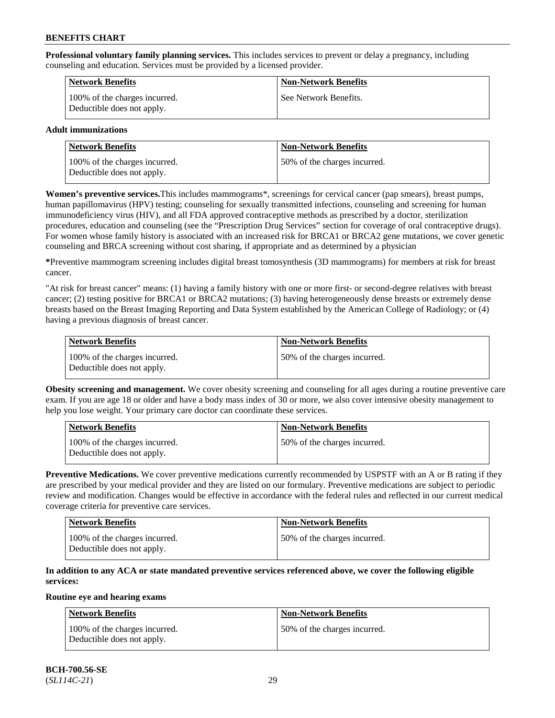**Professional voluntary family planning services.** This includes services to prevent or delay a pregnancy, including counseling and education. Services must be provided by a licensed provider.

| <b>Network Benefits</b>                                     | <b>Non-Network Benefits</b> |
|-------------------------------------------------------------|-----------------------------|
| 100% of the charges incurred.<br>Deductible does not apply. | See Network Benefits.       |

## **Adult immunizations**

| <b>Network Benefits</b>                                     | <b>Non-Network Benefits</b>  |
|-------------------------------------------------------------|------------------------------|
| 100% of the charges incurred.<br>Deductible does not apply. | 50% of the charges incurred. |

**Women's preventive services.**This includes mammograms\*, screenings for cervical cancer (pap smears), breast pumps, human papillomavirus (HPV) testing; counseling for sexually transmitted infections, counseling and screening for human immunodeficiency virus (HIV), and all FDA approved contraceptive methods as prescribed by a doctor, sterilization procedures, education and counseling (see the "Prescription Drug Services" section for coverage of oral contraceptive drugs). For women whose family history is associated with an increased risk for BRCA1 or BRCA2 gene mutations, we cover genetic counseling and BRCA screening without cost sharing, if appropriate and as determined by a physician

**\***Preventive mammogram screening includes digital breast tomosynthesis (3D mammograms) for members at risk for breast cancer.

"At risk for breast cancer" means: (1) having a family history with one or more first- or second-degree relatives with breast cancer; (2) testing positive for BRCA1 or BRCA2 mutations; (3) having heterogeneously dense breasts or extremely dense breasts based on the Breast Imaging Reporting and Data System established by the American College of Radiology; or (4) having a previous diagnosis of breast cancer.

| Network Benefits                                            | <b>Non-Network Benefits</b>  |
|-------------------------------------------------------------|------------------------------|
| 100% of the charges incurred.<br>Deductible does not apply. | 50% of the charges incurred. |

**Obesity screening and management.** We cover obesity screening and counseling for all ages during a routine preventive care exam. If you are age 18 or older and have a body mass index of 30 or more, we also cover intensive obesity management to help you lose weight. Your primary care doctor can coordinate these services.

| Network Benefits                                            | <b>Non-Network Benefits</b>  |
|-------------------------------------------------------------|------------------------------|
| 100% of the charges incurred.<br>Deductible does not apply. | 50% of the charges incurred. |

**Preventive Medications.** We cover preventive medications currently recommended by USPSTF with an A or B rating if they are prescribed by your medical provider and they are listed on our formulary. Preventive medications are subject to periodic review and modification. Changes would be effective in accordance with the federal rules and reflected in our current medical coverage criteria for preventive care services.

| <b>Network Benefits</b>                                     | <b>Non-Network Benefits</b>   |
|-------------------------------------------------------------|-------------------------------|
| 100% of the charges incurred.<br>Deductible does not apply. | 150% of the charges incurred. |

## **In addition to any ACA or state mandated preventive services referenced above, we cover the following eligible services:**

#### **Routine eye and hearing exams**

| <b>Network Benefits</b>                                     | <b>Non-Network Benefits</b>  |
|-------------------------------------------------------------|------------------------------|
| 100% of the charges incurred.<br>Deductible does not apply. | 50% of the charges incurred. |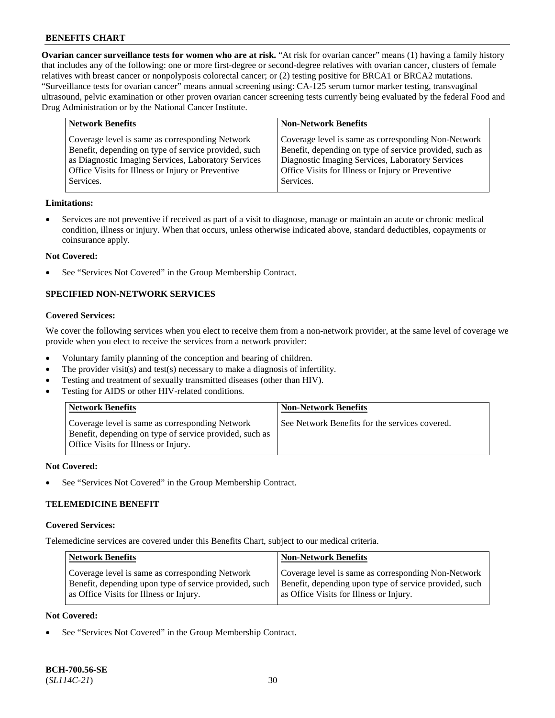**Ovarian cancer surveillance tests for women who are at risk.** "At risk for ovarian cancer" means (1) having a family history that includes any of the following: one or more first-degree or second-degree relatives with ovarian cancer, clusters of female relatives with breast cancer or nonpolyposis colorectal cancer; or (2) testing positive for BRCA1 or BRCA2 mutations. "Surveillance tests for ovarian cancer" means annual screening using: CA-125 serum tumor marker testing, transvaginal ultrasound, pelvic examination or other proven ovarian cancer screening tests currently being evaluated by the federal Food and Drug Administration or by the National Cancer Institute.

| <b>Network Benefits</b>                              | <b>Non-Network Benefits</b>                             |
|------------------------------------------------------|---------------------------------------------------------|
| Coverage level is same as corresponding Network      | Coverage level is same as corresponding Non-Network     |
| Benefit, depending on type of service provided, such | Benefit, depending on type of service provided, such as |
| as Diagnostic Imaging Services, Laboratory Services  | Diagnostic Imaging Services, Laboratory Services        |
| Office Visits for Illness or Injury or Preventive    | Office Visits for Illness or Injury or Preventive       |
| Services.                                            | Services.                                               |

#### **Limitations:**

• Services are not preventive if received as part of a visit to diagnose, manage or maintain an acute or chronic medical condition, illness or injury. When that occurs, unless otherwise indicated above, standard deductibles, copayments or coinsurance apply.

#### **Not Covered:**

See "Services Not Covered" in the Group Membership Contract.

## **SPECIFIED NON-NETWORK SERVICES**

## **Covered Services:**

We cover the following services when you elect to receive them from a non-network provider, at the same level of coverage we provide when you elect to receive the services from a network provider:

- Voluntary family planning of the conception and bearing of children.
- The provider visit(s) and test(s) necessary to make a diagnosis of infertility.
- Testing and treatment of sexually transmitted diseases (other than HIV).
- Testing for AIDS or other HIV-related conditions.

| <b>Network Benefits</b>                                                                                                                            | <b>Non-Network Benefits</b>                    |
|----------------------------------------------------------------------------------------------------------------------------------------------------|------------------------------------------------|
| Coverage level is same as corresponding Network<br>Benefit, depending on type of service provided, such as<br>Office Visits for Illness or Injury. | See Network Benefits for the services covered. |

#### **Not Covered:**

See "Services Not Covered" in the Group Membership Contract.

## **TELEMEDICINE BENEFIT**

#### **Covered Services:**

Telemedicine services are covered under this Benefits Chart, subject to our medical criteria.

| <b>Network Benefits</b>                                | <b>Non-Network Benefits</b>                            |
|--------------------------------------------------------|--------------------------------------------------------|
| Coverage level is same as corresponding Network        | Coverage level is same as corresponding Non-Network    |
| Benefit, depending upon type of service provided, such | Benefit, depending upon type of service provided, such |
| as Office Visits for Illness or Injury.                | as Office Visits for Illness or Injury.                |

### **Not Covered:**

See "Services Not Covered" in the Group Membership Contract.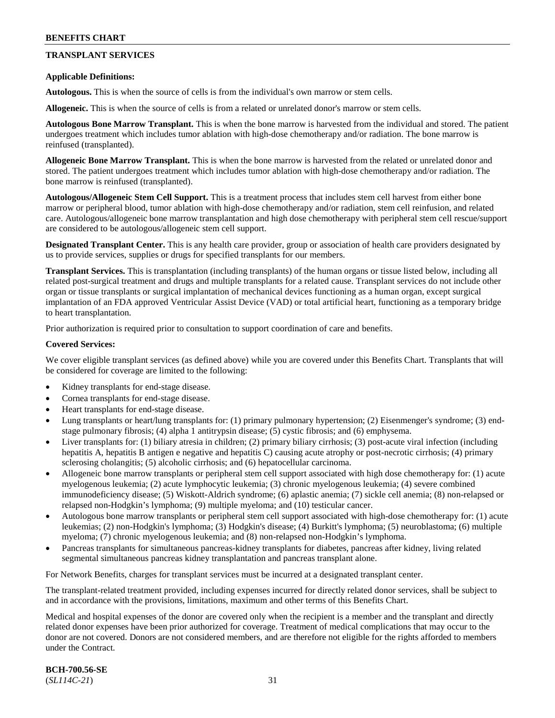## **TRANSPLANT SERVICES**

### **Applicable Definitions:**

**Autologous.** This is when the source of cells is from the individual's own marrow or stem cells.

**Allogeneic.** This is when the source of cells is from a related or unrelated donor's marrow or stem cells.

**Autologous Bone Marrow Transplant.** This is when the bone marrow is harvested from the individual and stored. The patient undergoes treatment which includes tumor ablation with high-dose chemotherapy and/or radiation. The bone marrow is reinfused (transplanted).

**Allogeneic Bone Marrow Transplant.** This is when the bone marrow is harvested from the related or unrelated donor and stored. The patient undergoes treatment which includes tumor ablation with high-dose chemotherapy and/or radiation. The bone marrow is reinfused (transplanted).

**Autologous/Allogeneic Stem Cell Support.** This is a treatment process that includes stem cell harvest from either bone marrow or peripheral blood, tumor ablation with high-dose chemotherapy and/or radiation, stem cell reinfusion, and related care. Autologous/allogeneic bone marrow transplantation and high dose chemotherapy with peripheral stem cell rescue/support are considered to be autologous/allogeneic stem cell support.

**Designated Transplant Center.** This is any health care provider, group or association of health care providers designated by us to provide services, supplies or drugs for specified transplants for our members.

**Transplant Services.** This is transplantation (including transplants) of the human organs or tissue listed below, including all related post-surgical treatment and drugs and multiple transplants for a related cause. Transplant services do not include other organ or tissue transplants or surgical implantation of mechanical devices functioning as a human organ, except surgical implantation of an FDA approved Ventricular Assist Device (VAD) or total artificial heart, functioning as a temporary bridge to heart transplantation.

Prior authorization is required prior to consultation to support coordination of care and benefits.

#### **Covered Services:**

We cover eligible transplant services (as defined above) while you are covered under this Benefits Chart. Transplants that will be considered for coverage are limited to the following:

- Kidney transplants for end-stage disease.
- Cornea transplants for end-stage disease.
- Heart transplants for end-stage disease.
- Lung transplants or heart/lung transplants for: (1) primary pulmonary hypertension; (2) Eisenmenger's syndrome; (3) endstage pulmonary fibrosis; (4) alpha 1 antitrypsin disease; (5) cystic fibrosis; and (6) emphysema.
- Liver transplants for: (1) biliary atresia in children; (2) primary biliary cirrhosis; (3) post-acute viral infection (including hepatitis A, hepatitis B antigen e negative and hepatitis C) causing acute atrophy or post-necrotic cirrhosis; (4) primary sclerosing cholangitis; (5) alcoholic cirrhosis; and (6) hepatocellular carcinoma.
- Allogeneic bone marrow transplants or peripheral stem cell support associated with high dose chemotherapy for: (1) acute myelogenous leukemia; (2) acute lymphocytic leukemia; (3) chronic myelogenous leukemia; (4) severe combined immunodeficiency disease; (5) Wiskott-Aldrich syndrome; (6) aplastic anemia; (7) sickle cell anemia; (8) non-relapsed or relapsed non-Hodgkin's lymphoma; (9) multiple myeloma; and (10) testicular cancer.
- Autologous bone marrow transplants or peripheral stem cell support associated with high-dose chemotherapy for: (1) acute leukemias; (2) non-Hodgkin's lymphoma; (3) Hodgkin's disease; (4) Burkitt's lymphoma; (5) neuroblastoma; (6) multiple myeloma; (7) chronic myelogenous leukemia; and (8) non-relapsed non-Hodgkin's lymphoma.
- Pancreas transplants for simultaneous pancreas-kidney transplants for diabetes, pancreas after kidney, living related segmental simultaneous pancreas kidney transplantation and pancreas transplant alone.

For Network Benefits, charges for transplant services must be incurred at a designated transplant center.

The transplant-related treatment provided, including expenses incurred for directly related donor services, shall be subject to and in accordance with the provisions, limitations, maximum and other terms of this Benefits Chart.

Medical and hospital expenses of the donor are covered only when the recipient is a member and the transplant and directly related donor expenses have been prior authorized for coverage. Treatment of medical complications that may occur to the donor are not covered. Donors are not considered members, and are therefore not eligible for the rights afforded to members under the Contract.